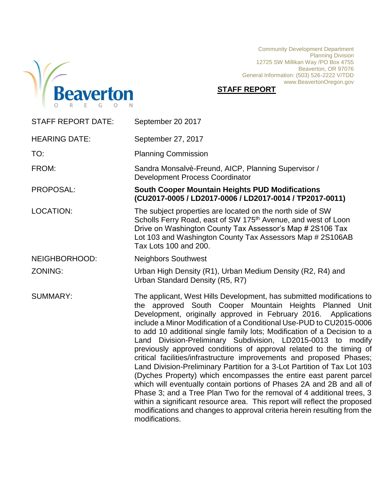

Community Development Department Planning Division 12725 SW Millikan Way /PO Box 4755 Beaverton, OR 97076 General Information: (503) 526-2222 V/TDD www.BeavertonOregon.gov

# **STAFF REPORT**

| <b>STAFF REPORT DATE:</b> | September 20 2017                                                                                                                                                                                                                                                                                                                                                                                                                                                                                                                                                                                                                                                                                                                                                                                                                                                                                                                                                                                                                                    |
|---------------------------|------------------------------------------------------------------------------------------------------------------------------------------------------------------------------------------------------------------------------------------------------------------------------------------------------------------------------------------------------------------------------------------------------------------------------------------------------------------------------------------------------------------------------------------------------------------------------------------------------------------------------------------------------------------------------------------------------------------------------------------------------------------------------------------------------------------------------------------------------------------------------------------------------------------------------------------------------------------------------------------------------------------------------------------------------|
| <b>HEARING DATE:</b>      | September 27, 2017                                                                                                                                                                                                                                                                                                                                                                                                                                                                                                                                                                                                                                                                                                                                                                                                                                                                                                                                                                                                                                   |
| TO:                       | <b>Planning Commission</b>                                                                                                                                                                                                                                                                                                                                                                                                                                                                                                                                                                                                                                                                                                                                                                                                                                                                                                                                                                                                                           |
| FROM:                     | Sandra Monsalvè-Freund, AICP, Planning Supervisor /<br><b>Development Process Coordinator</b>                                                                                                                                                                                                                                                                                                                                                                                                                                                                                                                                                                                                                                                                                                                                                                                                                                                                                                                                                        |
| PROPOSAL:                 | <b>South Cooper Mountain Heights PUD Modifications</b><br>(CU2017-0005 / LD2017-0006 / LD2017-0014 / TP2017-0011)                                                                                                                                                                                                                                                                                                                                                                                                                                                                                                                                                                                                                                                                                                                                                                                                                                                                                                                                    |
| <b>LOCATION:</b>          | The subject properties are located on the north side of SW<br>Scholls Ferry Road, east of SW 175 <sup>th</sup> Avenue, and west of Loon<br>Drive on Washington County Tax Assessor's Map # 2S106 Tax<br>Lot 103 and Washington County Tax Assessors Map # 2S106AB<br>Tax Lots 100 and 200.                                                                                                                                                                                                                                                                                                                                                                                                                                                                                                                                                                                                                                                                                                                                                           |
| NEIGHBORHOOD:             | <b>Neighbors Southwest</b>                                                                                                                                                                                                                                                                                                                                                                                                                                                                                                                                                                                                                                                                                                                                                                                                                                                                                                                                                                                                                           |
| ZONING:                   | Urban High Density (R1), Urban Medium Density (R2, R4) and<br>Urban Standard Density (R5, R7)                                                                                                                                                                                                                                                                                                                                                                                                                                                                                                                                                                                                                                                                                                                                                                                                                                                                                                                                                        |
| <b>SUMMARY:</b>           | The applicant, West Hills Development, has submitted modifications to<br>the approved South Cooper Mountain Heights Planned Unit<br>Development, originally approved in February 2016. Applications<br>include a Minor Modification of a Conditional Use-PUD to CU2015-0006<br>to add 10 additional single family lots; Modification of a Decision to a<br>Land Division-Preliminary Subdivision, LD2015-0013 to modify<br>previously approved conditions of approval related to the timing of<br>critical facilities/infrastructure improvements and proposed Phases;<br>Land Division-Preliminary Partition for a 3-Lot Partition of Tax Lot 103<br>(Dyches Property) which encompasses the entire east parent parcel<br>which will eventually contain portions of Phases 2A and 2B and all of<br>Phase 3; and a Tree Plan Two for the removal of 4 additional trees, 3<br>within a significant resource area. This report will reflect the proposed<br>modifications and changes to approval criteria herein resulting from the<br>modifications. |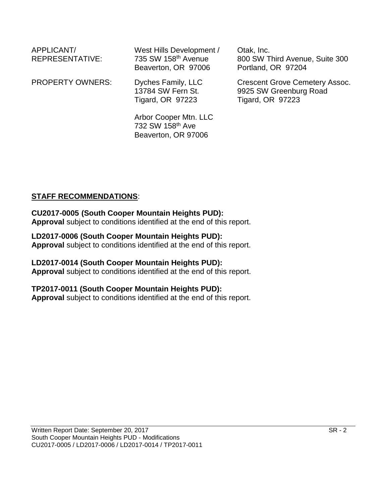| APPLICANT/<br>REPRESENTATIVE: | West Hills Development /<br>735 SW 158th Avenue<br>Beaverton, OR 97006 | Otak, Inc.<br>800 SW Third Avenue, Suite 300<br>Portland, OR 97204                         |
|-------------------------------|------------------------------------------------------------------------|--------------------------------------------------------------------------------------------|
| <b>PROPERTY OWNERS:</b>       | Dyches Family, LLC<br>13784 SW Fern St.<br><b>Tigard, OR 97223</b>     | <b>Crescent Grove Cemetery Assoc.</b><br>9925 SW Greenburg Road<br><b>Tigard, OR 97223</b> |
|                               | Arbor Cooper Mtn. LLC                                                  |                                                                                            |

732 SW 158th Ave Beaverton, OR 97006

# **STAFF RECOMMENDATIONS**:

#### **CU2017-0005 (South Cooper Mountain Heights PUD): Approval** subject to conditions identified at the end of this report.

#### **LD2017-0006 (South Cooper Mountain Heights PUD):**

**Approval** subject to conditions identified at the end of this report.

#### **LD2017-0014 (South Cooper Mountain Heights PUD):**

**Approval** subject to conditions identified at the end of this report.

# **TP2017-0011 (South Cooper Mountain Heights PUD):**

**Approval** subject to conditions identified at the end of this report.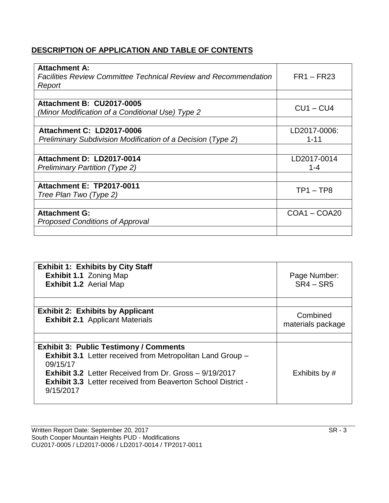# **DESCRIPTION OF APPLICATION AND TABLE OF CONTENTS**

| <b>Attachment A:</b>                                                   |                |
|------------------------------------------------------------------------|----------------|
| <b>Facilities Review Committee Technical Review and Recommendation</b> | $FR1 - FR23$   |
| Report                                                                 |                |
|                                                                        |                |
| <b>Attachment B: CU2017-0005</b>                                       | $CU1 - CU4$    |
| (Minor Modification of a Conditional Use) Type 2                       |                |
|                                                                        |                |
| Attachment C: LD2017-0006                                              | LD2017-0006:   |
| Preliminary Subdivision Modification of a Decision (Type 2)            | $1 - 11$       |
|                                                                        |                |
| Attachment D: LD2017-0014                                              | LD2017-0014    |
| <b>Preliminary Partition (Type 2)</b>                                  | 1-4            |
|                                                                        |                |
| <b>Attachment E: TP2017-0011</b>                                       |                |
| Tree Plan Two (Type 2)                                                 | $TP1 - TP8$    |
|                                                                        |                |
| <b>Attachment G:</b>                                                   | $COA1 - COA20$ |
| Proposed Conditions of Approval                                        |                |
|                                                                        |                |

| <b>Exhibit 1.1 Zoning Map</b><br><b>Exhibit 1.2 Aerial Map</b>                                                                                                                                                                     | Page Number:<br>$SR4 - SR5$   |
|------------------------------------------------------------------------------------------------------------------------------------------------------------------------------------------------------------------------------------|-------------------------------|
| <b>Exhibit 2: Exhibits by Applicant</b><br><b>Exhibit 2.1</b> Applicant Materials                                                                                                                                                  | Combined<br>materials package |
|                                                                                                                                                                                                                                    |                               |
| <b>Exhibit 3: Public Testimony / Comments</b>                                                                                                                                                                                      |                               |
| <b>Exhibit 3.1</b> Letter received from Metropolitan Land Group -<br>09/15/17<br><b>Exhibit 3.2</b> Letter Received from Dr. Gross - 9/19/2017<br><b>Exhibit 3.3</b> Letter received from Beaverton School District -<br>9/15/2017 | Exhibits by #                 |

Written Report Date: September 20, 2017 SR - 3 South Cooper Mountain Heights PUD - Modifications CU2017-0005 / LD2017-0006 / LD2017-0014 / TP2017-0011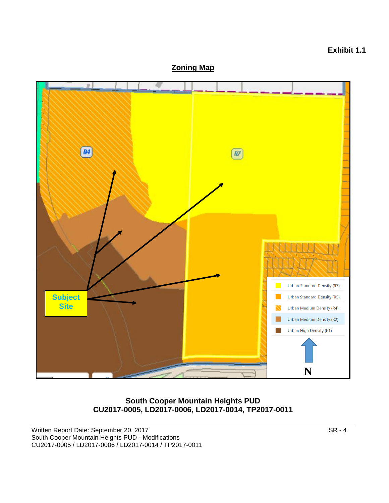

# **South Cooper Mountain Heights PUD CU2017-0005, LD2017-0006, LD2017-0014, TP2017-0011**

Written Report Date: September 20, 2017 SR - 4 South Cooper Mountain Heights PUD - Modifications CU2017-0005 / LD2017-0006 / LD2017-0014 / TP2017-0011

**Exhibit 1.1**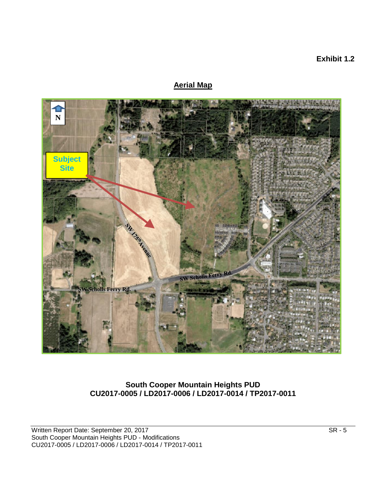#### **Exhibit 1.2**

# **Aerial Map**



#### **South Cooper Mountain Heights PUD CU2017-0005 / LD2017-0006 / LD2017-0014 / TP2017-0011**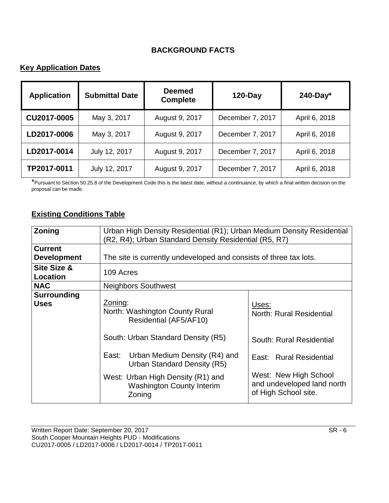# **BACKGROUND FACTS**

# **Key Application Dates**

| <b>Application</b> | <b>Submittal Date</b> | <b>Deemed</b><br><b>Complete</b> | $120$ -Day       | $240$ -Day*   |
|--------------------|-----------------------|----------------------------------|------------------|---------------|
| CU2017-0005        | May 3, 2017           | August 9, 2017                   | December 7, 2017 | April 6, 2018 |
| LD2017-0006        | May 3, 2017           | August 9, 2017                   | December 7, 2017 | April 6, 2018 |
| LD2017-0014        | July 12, 2017         | August 9, 2017                   | December 7, 2017 | April 6, 2018 |
| TP2017-0011        | July 12, 2017         | August 9, 2017                   | December 7, 2017 | April 6, 2018 |

\*Pursuant to Section 50.25.8 of the Development Code this is the latest date, without a continuance, by which a final written decision on the proposal can be made.

# **Existing Conditions Table**

| Zoning                               | Urban High Density Residential (R1); Urban Medium Density Residential<br>(R2, R4); Urban Standard Density Residential (R5, R7) |                                                                             |  |  |  |
|--------------------------------------|--------------------------------------------------------------------------------------------------------------------------------|-----------------------------------------------------------------------------|--|--|--|
| <b>Current</b><br><b>Development</b> | The site is currently undeveloped and consists of three tax lots.                                                              |                                                                             |  |  |  |
| Site Size &<br>Location              | 109 Acres                                                                                                                      |                                                                             |  |  |  |
| <b>NAC</b>                           | <b>Neighbors Southwest</b>                                                                                                     |                                                                             |  |  |  |
| Surrounding<br><b>Uses</b>           | Zoning:<br>North: Washington County Rural<br>Residential (AF5/AF10)                                                            | Uses:<br>North: Rural Residential                                           |  |  |  |
|                                      | South: Urban Standard Density (R5)                                                                                             | South: Rural Residential                                                    |  |  |  |
|                                      | Urban Medium Density (R4) and<br>East:<br>Urban Standard Density (R5)                                                          | East: Rural Residential                                                     |  |  |  |
|                                      | West: Urban High Density (R1) and<br><b>Washington County Interim</b><br>Zoning                                                | West: New High School<br>and undeveloped land north<br>of High School site. |  |  |  |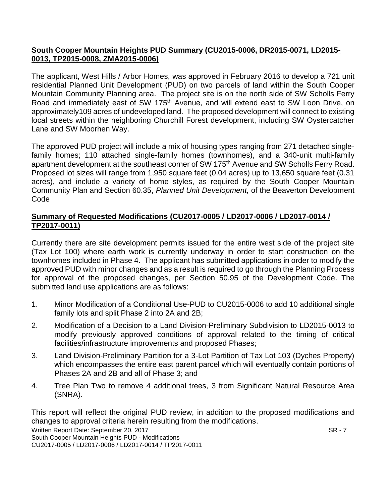### **South Cooper Mountain Heights PUD Summary (CU2015-0006, DR2015-0071, LD2015- 0013, TP2015-0008, ZMA2015-0006)**

The applicant, West Hills / Arbor Homes, was approved in February 2016 to develop a 721 unit residential Planned Unit Development (PUD) on two parcels of land within the South Cooper Mountain Community Planning area. The project site is on the north side of SW Scholls Ferry Road and immediately east of SW 175<sup>th</sup> Avenue, and will extend east to SW Loon Drive, on approximately109 acres of undeveloped land. The proposed development will connect to existing local streets within the neighboring Churchill Forest development, including SW Oystercatcher Lane and SW Moorhen Way.

The approved PUD project will include a mix of housing types ranging from 271 detached singlefamily homes; 110 attached single-family homes (townhomes), and a 340-unit multi-family apartment development at the southeast corner of SW 175th Avenue and SW Scholls Ferry Road. Proposed lot sizes will range from 1,950 square feet (0.04 acres) up to 13,650 square feet (0.31 acres), and include a variety of home styles, as required by the South Cooper Mountain Community Plan and Section 60.35, *Planned Unit Development,* of the Beaverton Development Code

# **Summary of Requested Modifications (CU2017-0005 / LD2017-0006 / LD2017-0014 / TP2017-0011)**

Currently there are site development permits issued for the entire west side of the project site (Tax Lot 100) where earth work is currently underway in order to start construction on the townhomes included in Phase 4. The applicant has submitted applications in order to modify the approved PUD with minor changes and as a result is required to go through the Planning Process for approval of the proposed changes, per Section 50.95 of the Development Code. The submitted land use applications are as follows:

- 1. Minor Modification of a Conditional Use-PUD to CU2015-0006 to add 10 additional single family lots and split Phase 2 into 2A and 2B;
- 2. Modification of a Decision to a Land Division-Preliminary Subdivision to LD2015-0013 to modify previously approved conditions of approval related to the timing of critical facilities/infrastructure improvements and proposed Phases;
- 3. Land Division-Preliminary Partition for a 3-Lot Partition of Tax Lot 103 (Dyches Property) which encompasses the entire east parent parcel which will eventually contain portions of Phases 2A and 2B and all of Phase 3; and
- 4. Tree Plan Two to remove 4 additional trees, 3 from Significant Natural Resource Area (SNRA).

This report will reflect the original PUD review, in addition to the proposed modifications and changes to approval criteria herein resulting from the modifications.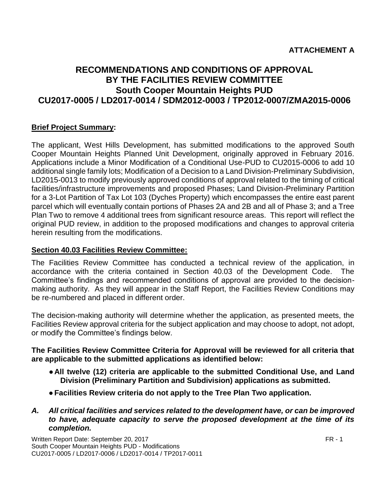# **RECOMMENDATIONS AND CONDITIONS OF APPROVAL BY THE FACILITIES REVIEW COMMITTEE South Cooper Mountain Heights PUD CU2017-0005 / LD2017-0014 / SDM2012-0003 / TP2012-0007/ZMA2015-0006**

# **Brief Project Summary:**

The applicant, West Hills Development, has submitted modifications to the approved South Cooper Mountain Heights Planned Unit Development, originally approved in February 2016. Applications include a Minor Modification of a Conditional Use-PUD to CU2015-0006 to add 10 additional single family lots; Modification of a Decision to a Land Division-Preliminary Subdivision, LD2015-0013 to modify previously approved conditions of approval related to the timing of critical facilities/infrastructure improvements and proposed Phases; Land Division-Preliminary Partition for a 3-Lot Partition of Tax Lot 103 (Dyches Property) which encompasses the entire east parent parcel which will eventually contain portions of Phases 2A and 2B and all of Phase 3; and a Tree Plan Two to remove 4 additional trees from significant resource areas. This report will reflect the original PUD review, in addition to the proposed modifications and changes to approval criteria herein resulting from the modifications.

#### **Section 40.03 Facilities Review Committee:**

The Facilities Review Committee has conducted a technical review of the application, in accordance with the criteria contained in Section 40.03 of the Development Code. The Committee's findings and recommended conditions of approval are provided to the decisionmaking authority. As they will appear in the Staff Report, the Facilities Review Conditions may be re-numbered and placed in different order.

The decision-making authority will determine whether the application, as presented meets, the Facilities Review approval criteria for the subject application and may choose to adopt, not adopt, or modify the Committee's findings below.

**The Facilities Review Committee Criteria for Approval will be reviewed for all criteria that are applicable to the submitted applications as identified below:**

- ●**All twelve (12) criteria are applicable to the submitted Conditional Use, and Land Division (Preliminary Partition and Subdivision) applications as submitted.**
- ●**Facilities Review criteria do not apply to the Tree Plan Two application.**
- *A. All critical facilities and services related to the development have, or can be improved to have, adequate capacity to serve the proposed development at the time of its completion.*

Written Report Date: September 20, 2017 FR - 1 South Cooper Mountain Heights PUD - Modifications CU2017-0005 / LD2017-0006 / LD2017-0014 / TP2017-0011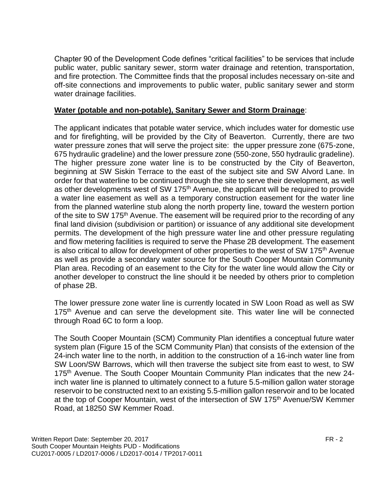Chapter 90 of the Development Code defines "critical facilities" to be services that include public water, public sanitary sewer, storm water drainage and retention, transportation, and fire protection. The Committee finds that the proposal includes necessary on-site and off-site connections and improvements to public water, public sanitary sewer and storm water drainage facilities.

#### **Water (potable and non-potable), Sanitary Sewer and Storm Drainage**:

The applicant indicates that potable water service, which includes water for domestic use and for firefighting, will be provided by the City of Beaverton. Currently, there are two water pressure zones that will serve the project site: the upper pressure zone (675-zone, 675 hydraulic gradeline) and the lower pressure zone (550-zone, 550 hydraulic gradeline). The higher pressure zone water line is to be constructed by the City of Beaverton, beginning at SW Siskin Terrace to the east of the subject site and SW Alvord Lane. In order for that waterline to be continued through the site to serve their development, as well as other developments west of SW 175<sup>th</sup> Avenue, the applicant will be required to provide a water line easement as well as a temporary construction easement for the water line from the planned waterline stub along the north property line, toward the western portion of the site to SW 175<sup>th</sup> Avenue. The easement will be required prior to the recording of any final land division (subdivision or partition) or issuance of any additional site development permits. The development of the high pressure water line and other pressure regulating and flow metering facilities is required to serve the Phase 2B development. The easement is also critical to allow for development of other properties to the west of SW 175<sup>th</sup> Avenue as well as provide a secondary water source for the South Cooper Mountain Community Plan area. Recoding of an easement to the City for the water line would allow the City or another developer to construct the line should it be needed by others prior to completion of phase 2B.

The lower pressure zone water line is currently located in SW Loon Road as well as SW 175<sup>th</sup> Avenue and can serve the development site. This water line will be connected through Road 6C to form a loop.

The South Cooper Mountain (SCM) Community Plan identifies a conceptual future water system plan (Figure 15 of the SCM Community Plan) that consists of the extension of the 24-inch water line to the north, in addition to the construction of a 16-inch water line from SW Loon/SW Barrows, which will then traverse the subject site from east to west, to SW 175<sup>th</sup> Avenue. The South Cooper Mountain Community Plan indicates that the new 24inch water line is planned to ultimately connect to a future 5.5-million gallon water storage reservoir to be constructed next to an existing 5.5-million gallon reservoir and to be located at the top of Cooper Mountain, west of the intersection of SW 175<sup>th</sup> Avenue/SW Kemmer Road, at 18250 SW Kemmer Road.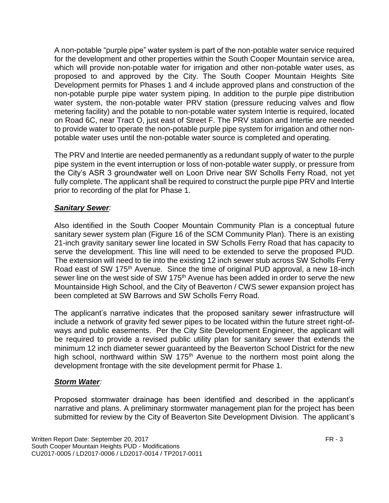A non-potable "purple pipe" water system is part of the non-potable water service required for the development and other properties within the South Cooper Mountain service area, which will provide non-potable water for irrigation and other non-potable water uses, as proposed to and approved by the City. The South Cooper Mountain Heights Site Development permits for Phases 1 and 4 include approved plans and construction of the non-potable purple pipe water system piping. In addition to the purple pipe distribution water system, the non-potable water PRV station (pressure reducing valves and flow metering facility) and the potable to non-potable water system Intertie is required, located on Road 6C, near Tract O, just east of Street F. The PRV station and Intertie are needed to provide water to operate the non-potable purple pipe system for irrigation and other nonpotable water uses until the non-potable water source is completed and operating.

The PRV and Intertie are needed permanently as a redundant supply of water to the purple pipe system in the event interruption or loss of non-potable water supply, or pressure from the City's ASR 3 groundwater well on Loon Drive near SW Scholls Ferry Road, not yet fully complete. The applicant shall be required to construct the purple pipe PRV and Intertie prior to recording of the plat for Phase 1.

#### *Sanitary Sewer:*

Also identified in the South Cooper Mountain Community Plan is a conceptual future sanitary sewer system plan (Figure 16 of the SCM Community Plan). There is an existing 21-inch gravity sanitary sewer line located in SW Scholls Ferry Road that has capacity to serve the development. This line will need to be extended to serve the proposed PUD. The extension will need to tie into the existing 12 inch sewer stub across SW Scholls Ferry Road east of SW 175<sup>th</sup> Avenue. Since the time of original PUD approval, a new 18-inch sewer line on the west side of SW 175<sup>th</sup> Avenue has been added in order to serve the new Mountainside High School, and the City of Beaverton / CWS sewer expansion project has been completed at SW Barrows and SW Scholls Ferry Road.

The applicant's narrative indicates that the proposed sanitary sewer infrastructure will include a network of gravity fed sewer pipes to be located within the future street right-ofways and public easements. Per the City Site Development Engineer, the applicant will be required to provide a revised public utility plan for sanitary sewer that extends the minimum 12 inch diameter sewer guaranteed by the Beaverton School District for the new high school, northward within SW 175<sup>th</sup> Avenue to the northern most point along the development frontage with the site development permit for Phase 1.

#### *Storm Water:*

Proposed stormwater drainage has been identified and described in the applicant's narrative and plans. A preliminary stormwater management plan for the project has been submitted for review by the City of Beaverton Site Development Division. The applicant's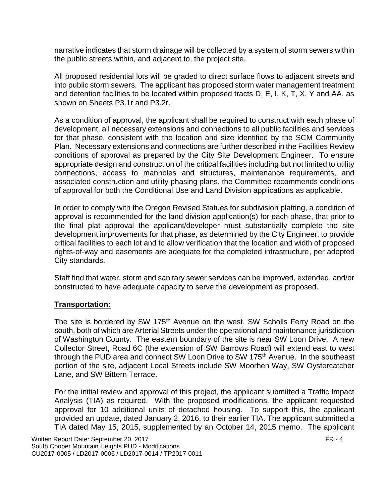narrative indicates that storm drainage will be collected by a system of storm sewers within the public streets within, and adjacent to, the project site.

All proposed residential lots will be graded to direct surface flows to adjacent streets and into public storm sewers. The applicant has proposed storm water management treatment and detention facilities to be located within proposed tracts D, E, I, K, T, X, Y and AA, as shown on Sheets P3.1r and P3.2r.

As a condition of approval, the applicant shall be required to construct with each phase of development, all necessary extensions and connections to all public facilities and services for that phase, consistent with the location and size identified by the SCM Community Plan. Necessary extensions and connections are further described in the Facilities Review conditions of approval as prepared by the City Site Development Engineer. To ensure appropriate design and construction of the critical facilities including but not limited to utility connections, access to manholes and structures, maintenance requirements, and associated construction and utility phasing plans, the Committee recommends conditions of approval for both the Conditional Use and Land Division applications as applicable.

In order to comply with the Oregon Revised Statues for subdivision platting, a condition of approval is recommended for the land division application(s) for each phase, that prior to the final plat approval the applicant/developer must substantially complete the site development improvements for that phase, as determined by the City Engineer, to provide critical facilities to each lot and to allow verification that the location and width of proposed rights-of-way and easements are adequate for the completed infrastructure, per adopted City standards.

Staff find that water, storm and sanitary sewer services can be improved, extended, and/or constructed to have adequate capacity to serve the development as proposed.

#### **Transportation:**

The site is bordered by SW 175<sup>th</sup> Avenue on the west, SW Scholls Ferry Road on the south, both of which are Arterial Streets under the operational and maintenance jurisdiction of Washington County. The eastern boundary of the site is near SW Loon Drive. A new Collector Street, Road 6C (the extension of SW Barrows Road) will extend east to west through the PUD area and connect SW Loon Drive to SW 175<sup>th</sup> Avenue. In the southeast portion of the site, adjacent Local Streets include SW Moorhen Way, SW Oystercatcher Lane, and SW Bittern Terrace.

For the initial review and approval of this project, the applicant submitted a Traffic Impact Analysis (TIA) as required. With the proposed modifications, the applicant requested approval for 10 additional units of detached housing. To support this, the applicant provided an update, dated January 2, 2016, to their earlier TIA. The applicant submitted a TIA dated May 15, 2015, supplemented by an October 14, 2015 memo. The applicant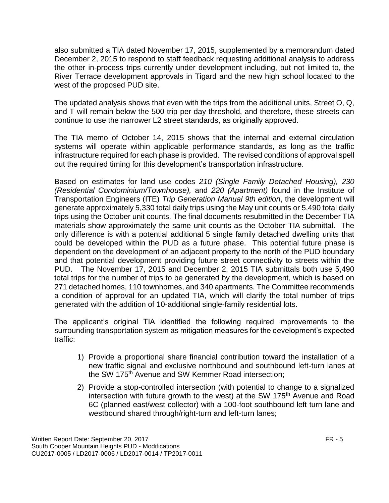also submitted a TIA dated November 17, 2015, supplemented by a memorandum dated December 2, 2015 to respond to staff feedback requesting additional analysis to address the other in-process trips currently under development including, but not limited to, the River Terrace development approvals in Tigard and the new high school located to the west of the proposed PUD site.

The updated analysis shows that even with the trips from the additional units, Street O, Q, and T will remain below the 500 trip per day threshold, and therefore, these streets can continue to use the narrower L2 street standards, as originally approved.

The TIA memo of October 14, 2015 shows that the internal and external circulation systems will operate within applicable performance standards, as long as the traffic infrastructure required for each phase is provided. The revised conditions of approval spell out the required timing for this development's transportation infrastructure.

Based on estimates for land use codes *210 (Single Family Detached Housing), 230 (Residential Condominium/Townhouse),* and *220 (Apartment)* found in the Institute of Transportation Engineers (ITE) *Trip Generation Manual 9th edition*, the development will generate approximately 5,330 total daily trips using the May unit counts or 5,490 total daily trips using the October unit counts. The final documents resubmitted in the December TIA materials show approximately the same unit counts as the October TIA submittal. The only difference is with a potential additional 5 single family detached dwelling units that could be developed within the PUD as a future phase. This potential future phase is dependent on the development of an adjacent property to the north of the PUD boundary and that potential development providing future street connectivity to streets within the PUD. The November 17, 2015 and December 2, 2015 TIA submittals both use 5,490 total trips for the number of trips to be generated by the development, which is based on 271 detached homes, 110 townhomes, and 340 apartments. The Committee recommends a condition of approval for an updated TIA, which will clarify the total number of trips generated with the addition of 10-additional single-family residential lots.

The applicant's original TIA identified the following required improvements to the surrounding transportation system as mitigation measures for the development's expected traffic:

- 1) Provide a proportional share financial contribution toward the installation of a new traffic signal and exclusive northbound and southbound left-turn lanes at the SW 175<sup>th</sup> Avenue and SW Kemmer Road intersection;
- 2) Provide a stop-controlled intersection (with potential to change to a signalized intersection with future growth to the west) at the SW 175<sup>th</sup> Avenue and Road 6C (planned east/west collector) with a 100-foot southbound left turn lane and westbound shared through/right-turn and left-turn lanes;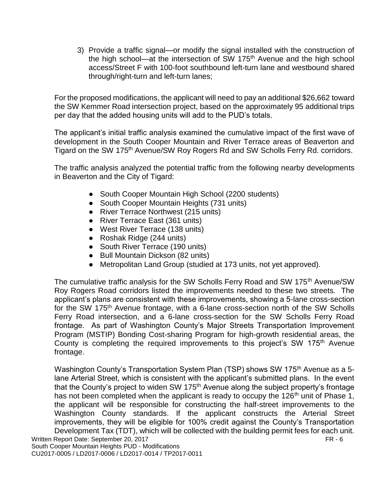3) Provide a traffic signal—or modify the signal installed with the construction of the high school—at the intersection of SW 175<sup>th</sup> Avenue and the high school access/Street F with 100-foot southbound left-turn lane and westbound shared through/right-turn and left-turn lanes;

For the proposed modifications, the applicant will need to pay an additional \$26,662 toward the SW Kemmer Road intersection project, based on the approximately 95 additional trips per day that the added housing units will add to the PUD's totals.

The applicant's initial traffic analysis examined the cumulative impact of the first wave of development in the South Cooper Mountain and River Terrace areas of Beaverton and Tigard on the SW 175<sup>th</sup> Avenue/SW Roy Rogers Rd and SW Scholls Ferry Rd. corridors.

The traffic analysis analyzed the potential traffic from the following nearby developments in Beaverton and the City of Tigard:

- South Cooper Mountain High School (2200 students)
- South Cooper Mountain Heights (731 units)
- River Terrace Northwest (215 units)
- River Terrace East (361 units)
- West River Terrace (138 units)
- Roshak Ridge (244 units)
- South River Terrace (190 units)
- Bull Mountain Dickson (82 units)
- Metropolitan Land Group (studied at 173 units, not yet approved).

The cumulative traffic analysis for the SW Scholls Ferry Road and SW 175<sup>th</sup> Avenue/SW Roy Rogers Road corridors listed the improvements needed to these two streets. The applicant's plans are consistent with these improvements, showing a 5-lane cross-section for the SW 175<sup>th</sup> Avenue frontage, with a 6-lane cross-section north of the SW Scholls Ferry Road intersection, and a 6-lane cross-section for the SW Scholls Ferry Road frontage. As part of Washington County's Major Streets Transportation Improvement Program (MSTIP) Bonding Cost-sharing Program for high-growth residential areas, the County is completing the required improvements to this project's SW 175<sup>th</sup> Avenue frontage.

Written Report Date: September 20, 2017 FR - 6 Washington County's Transportation System Plan (TSP) shows SW 175<sup>th</sup> Avenue as a 5lane Arterial Street, which is consistent with the applicant's submitted plans. In the event that the County's project to widen SW 175<sup>th</sup> Avenue along the subject property's frontage has not been completed when the applicant is ready to occupy the  $126<sup>th</sup>$  unit of Phase 1, the applicant will be responsible for constructing the half-street improvements to the Washington County standards. If the applicant constructs the Arterial Street improvements, they will be eligible for 100% credit against the County's Transportation Development Tax (TDT), which will be collected with the building permit fees for each unit.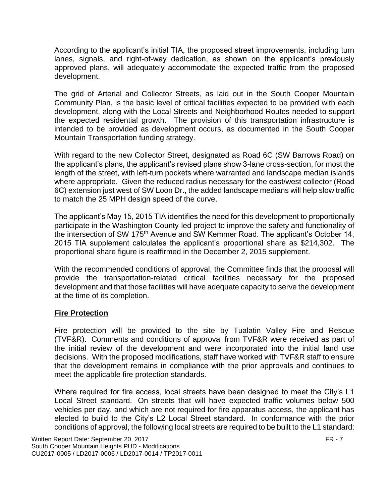According to the applicant's initial TIA, the proposed street improvements, including turn lanes, signals, and right-of-way dedication, as shown on the applicant's previously approved plans, will adequately accommodate the expected traffic from the proposed development.

The grid of Arterial and Collector Streets, as laid out in the South Cooper Mountain Community Plan, is the basic level of critical facilities expected to be provided with each development, along with the Local Streets and Neighborhood Routes needed to support the expected residential growth. The provision of this transportation infrastructure is intended to be provided as development occurs, as documented in the South Cooper Mountain Transportation funding strategy.

With regard to the new Collector Street, designated as Road 6C (SW Barrows Road) on the applicant's plans, the applicant's revised plans show 3-lane cross-section, for most the length of the street, with left-turn pockets where warranted and landscape median islands where appropriate. Given the reduced radius necessary for the east/west collector (Road 6C) extension just west of SW Loon Dr., the added landscape medians will help slow traffic to match the 25 MPH design speed of the curve.

The applicant's May 15, 2015 TIA identifies the need for this development to proportionally participate in the Washington County-led project to improve the safety and functionality of the intersection of SW 175<sup>th</sup> Avenue and SW Kemmer Road. The applicant's October 14, 2015 TIA supplement calculates the applicant's proportional share as \$214,302. The proportional share figure is reaffirmed in the December 2, 2015 supplement.

With the recommended conditions of approval, the Committee finds that the proposal will provide the transportation-related critical facilities necessary for the proposed development and that those facilities will have adequate capacity to serve the development at the time of its completion.

#### **Fire Protection**

Fire protection will be provided to the site by Tualatin Valley Fire and Rescue (TVF&R). Comments and conditions of approval from TVF&R were received as part of the initial review of the development and were incorporated into the initial land use decisions. With the proposed modifications, staff have worked with TVF&R staff to ensure that the development remains in compliance with the prior approvals and continues to meet the applicable fire protection standards.

Where required for fire access, local streets have been designed to meet the City's L1 Local Street standard. On streets that will have expected traffic volumes below 500 vehicles per day, and which are not required for fire apparatus access, the applicant has elected to build to the City's L2 Local Street standard. In conformance with the prior conditions of approval, the following local streets are required to be built to the L1 standard: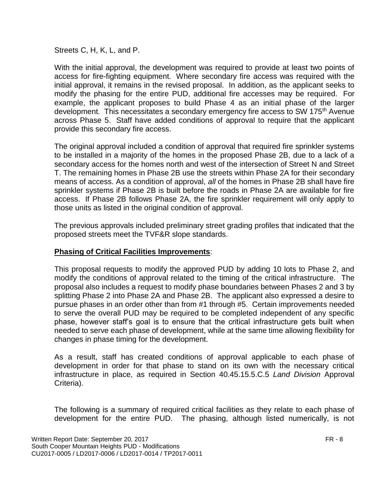Streets C, H, K, L, and P.

With the initial approval, the development was required to provide at least two points of access for fire-fighting equipment. Where secondary fire access was required with the initial approval, it remains in the revised proposal. In addition, as the applicant seeks to modify the phasing for the entire PUD, additional fire accesses may be required. For example, the applicant proposes to build Phase 4 as an initial phase of the larger development. This necessitates a secondary emergency fire access to SW 175<sup>th</sup> Avenue across Phase 5. Staff have added conditions of approval to require that the applicant provide this secondary fire access.

The original approval included a condition of approval that required fire sprinkler systems to be installed in a majority of the homes in the proposed Phase 2B, due to a lack of a secondary access for the homes north and west of the intersection of Street N and Street T. The remaining homes in Phase 2B use the streets within Phase 2A for their secondary means of access. As a condition of approval, *all* of the homes in Phase 2B shall have fire sprinkler systems if Phase 2B is built before the roads in Phase 2A are available for fire access. If Phase 2B follows Phase 2A, the fire sprinkler requirement will only apply to those units as listed in the original condition of approval.

The previous approvals included preliminary street grading profiles that indicated that the proposed streets meet the TVF&R slope standards.

### **Phasing of Critical Facilities Improvements**:

This proposal requests to modify the approved PUD by adding 10 lots to Phase 2, and modify the conditions of approval related to the timing of the critical infrastructure. The proposal also includes a request to modify phase boundaries between Phases 2 and 3 by splitting Phase 2 into Phase 2A and Phase 2B. The applicant also expressed a desire to pursue phases in an order other than from #1 through #5. Certain improvements needed to serve the overall PUD may be required to be completed independent of any specific phase, however staff's goal is to ensure that the critical infrastructure gets built when needed to serve each phase of development, while at the same time allowing flexibility for changes in phase timing for the development.

As a result, staff has created conditions of approval applicable to each phase of development in order for that phase to stand on its own with the necessary critical infrastructure in place, as required in Section 40.45.15.5.C.5 *Land Division* Approval Criteria).

The following is a summary of required critical facilities as they relate to each phase of development for the entire PUD. The phasing, although listed numerically, is not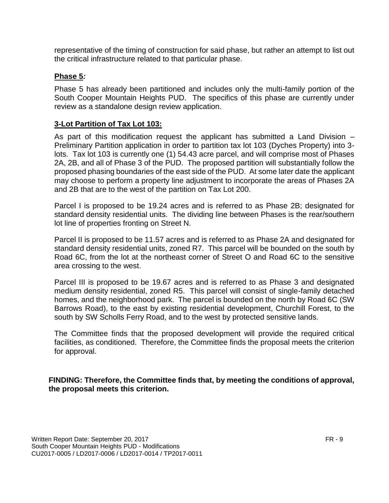representative of the timing of construction for said phase, but rather an attempt to list out the critical infrastructure related to that particular phase.

#### **Phase 5***:*

Phase 5 has already been partitioned and includes only the multi-family portion of the South Cooper Mountain Heights PUD. The specifics of this phase are currently under review as a standalone design review application.

#### **3-Lot Partition of Tax Lot 103:**

As part of this modification request the applicant has submitted a Land Division – Preliminary Partition application in order to partition tax lot 103 (Dyches Property) into 3 lots. Tax lot 103 is currently one (1) 54.43 acre parcel, and will comprise most of Phases 2A, 2B, and all of Phase 3 of the PUD. The proposed partition will substantially follow the proposed phasing boundaries of the east side of the PUD. At some later date the applicant may choose to perform a property line adjustment to incorporate the areas of Phases 2A and 2B that are to the west of the partition on Tax Lot 200.

Parcel I is proposed to be 19.24 acres and is referred to as Phase 2B; designated for standard density residential units. The dividing line between Phases is the rear/southern lot line of properties fronting on Street N.

Parcel II is proposed to be 11.57 acres and is referred to as Phase 2A and designated for standard density residential units, zoned R7. This parcel will be bounded on the south by Road 6C, from the lot at the northeast corner of Street O and Road 6C to the sensitive area crossing to the west.

Parcel III is proposed to be 19.67 acres and is referred to as Phase 3 and designated medium density residential, zoned R5. This parcel will consist of single-family detached homes, and the neighborhood park. The parcel is bounded on the north by Road 6C (SW Barrows Road), to the east by existing residential development, Churchill Forest, to the south by SW Scholls Ferry Road, and to the west by protected sensitive lands.

The Committee finds that the proposed development will provide the required critical facilities, as conditioned. Therefore, the Committee finds the proposal meets the criterion for approval.

#### **FINDING: Therefore, the Committee finds that, by meeting the conditions of approval, the proposal meets this criterion.**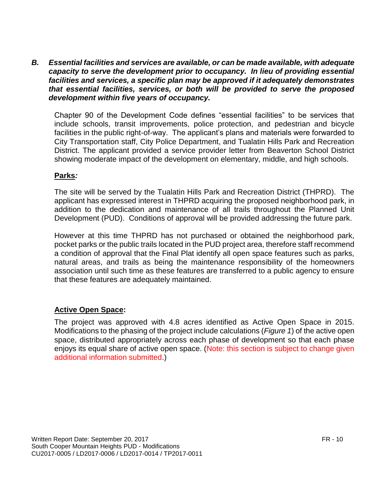*B. Essential facilities and services are available, or can be made available, with adequate capacity to serve the development prior to occupancy. In lieu of providing essential facilities and services, a specific plan may be approved if it adequately demonstrates that essential facilities, services, or both will be provided to serve the proposed development within five years of occupancy.*

Chapter 90 of the Development Code defines "essential facilities" to be services that include schools, transit improvements, police protection, and pedestrian and bicycle facilities in the public right-of-way. The applicant's plans and materials were forwarded to City Transportation staff, City Police Department, and Tualatin Hills Park and Recreation District. The applicant provided a service provider letter from Beaverton School District showing moderate impact of the development on elementary, middle, and high schools.

#### **Parks***:*

The site will be served by the Tualatin Hills Park and Recreation District (THPRD). The applicant has expressed interest in THPRD acquiring the proposed neighborhood park, in addition to the dedication and maintenance of all trails throughout the Planned Unit Development (PUD). Conditions of approval will be provided addressing the future park.

However at this time THPRD has not purchased or obtained the neighborhood park, pocket parks or the public trails located in the PUD project area, therefore staff recommend a condition of approval that the Final Plat identify all open space features such as parks, natural areas, and trails as being the maintenance responsibility of the homeowners association until such time as these features are transferred to a public agency to ensure that these features are adequately maintained.

#### **Active Open Space:**

The project was approved with 4.8 acres identified as Active Open Space in 2015. Modifications to the phasing of the project include calculations (*Figure 1*) of the active open space, distributed appropriately across each phase of development so that each phase enjoys its equal share of active open space. (Note: this section is subject to change given additional information submitted.)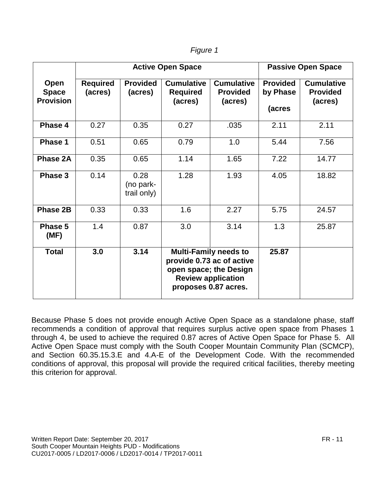| ıaure |
|-------|
|-------|

|                                                 |                            |                                  | <b>Active Open Space</b>                                                                                                                 |                                                 | <b>Passive Open Space</b>             |                                                 |
|-------------------------------------------------|----------------------------|----------------------------------|------------------------------------------------------------------------------------------------------------------------------------------|-------------------------------------------------|---------------------------------------|-------------------------------------------------|
| <b>Open</b><br><b>Space</b><br><b>Provision</b> | <b>Required</b><br>(acres) | <b>Provided</b><br>(acres)       | <b>Cumulative</b><br><b>Required</b><br>(acres)                                                                                          | <b>Cumulative</b><br><b>Provided</b><br>(acres) | <b>Provided</b><br>by Phase<br>(acres | <b>Cumulative</b><br><b>Provided</b><br>(acres) |
| Phase 4                                         | 0.27                       | 0.35                             | 0.27                                                                                                                                     | .035                                            | 2.11                                  | 2.11                                            |
| Phase 1                                         | 0.51                       | 0.65                             | 0.79                                                                                                                                     | 1.0                                             | 5.44                                  | 7.56                                            |
| Phase 2A                                        | 0.35                       | 0.65                             | 1.14                                                                                                                                     | 1.65                                            | 7.22                                  | 14.77                                           |
| Phase 3                                         | 0.14                       | 0.28<br>(no park-<br>trail only) | 1.28                                                                                                                                     | 1.93                                            | 4.05                                  | 18.82                                           |
| <b>Phase 2B</b>                                 | 0.33                       | 0.33                             | 1.6                                                                                                                                      | 2.27                                            | 5.75                                  | 24.57                                           |
| Phase 5<br>(MF)                                 | 1.4                        | 0.87                             | 3.0                                                                                                                                      | 3.14                                            | 1.3                                   | 25.87                                           |
| <b>Total</b>                                    | 3.0                        | 3.14                             | <b>Multi-Family needs to</b><br>provide 0.73 ac of active<br>open space; the Design<br><b>Review application</b><br>proposes 0.87 acres. |                                                 | 25.87                                 |                                                 |

Because Phase 5 does not provide enough Active Open Space as a standalone phase, staff recommends a condition of approval that requires surplus active open space from Phases 1 through 4, be used to achieve the required 0.87 acres of Active Open Space for Phase 5. All Active Open Space must comply with the South Cooper Mountain Community Plan (SCMCP), and Section 60.35.15.3.E and 4.A-E of the Development Code. With the recommended conditions of approval, this proposal will provide the required critical facilities, thereby meeting this criterion for approval.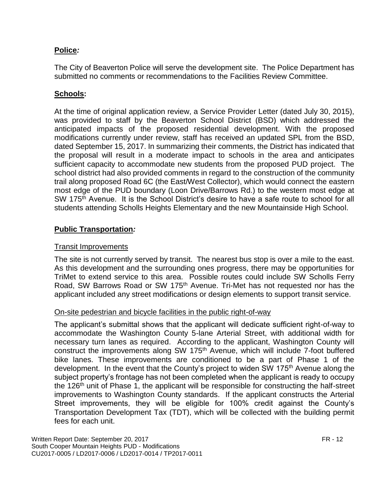### **Police***:*

The City of Beaverton Police will serve the development site. The Police Department has submitted no comments or recommendations to the Facilities Review Committee.

# **Schools:**

At the time of original application review, a Service Provider Letter (dated July 30, 2015), was provided to staff by the Beaverton School District (BSD) which addressed the anticipated impacts of the proposed residential development. With the proposed modifications currently under review, staff has received an updated SPL from the BSD, dated September 15, 2017. In summarizing their comments, the District has indicated that the proposal will result in a moderate impact to schools in the area and anticipates sufficient capacity to accommodate new students from the proposed PUD project. The school district had also provided comments in regard to the construction of the community trail along proposed Road 6C (the East/West Collector), which would connect the eastern most edge of the PUD boundary (Loon Drive/Barrows Rd.) to the western most edge at SW 175<sup>th</sup> Avenue. It is the School District's desire to have a safe route to school for all students attending Scholls Heights Elementary and the new Mountainside High School.

# **Public Transportation***:*

#### Transit Improvements

The site is not currently served by transit. The nearest bus stop is over a mile to the east. As this development and the surrounding ones progress, there may be opportunities for TriMet to extend service to this area. Possible routes could include SW Scholls Ferry Road, SW Barrows Road or SW 175<sup>th</sup> Avenue. Tri-Met has not requested nor has the applicant included any street modifications or design elements to support transit service.

#### On-site pedestrian and bicycle facilities in the public right-of-way

The applicant's submittal shows that the applicant will dedicate sufficient right-of-way to accommodate the Washington County 5-lane Arterial Street, with additional width for necessary turn lanes as required. According to the applicant, Washington County will construct the improvements along SW 175<sup>th</sup> Avenue, which will include 7-foot buffered bike lanes. These improvements are conditioned to be a part of Phase 1 of the development. In the event that the County's project to widen SW 175<sup>th</sup> Avenue along the subject property's frontage has not been completed when the applicant is ready to occupy the 126<sup>th</sup> unit of Phase 1, the applicant will be responsible for constructing the half-street improvements to Washington County standards. If the applicant constructs the Arterial Street improvements, they will be eligible for 100% credit against the County's Transportation Development Tax (TDT), which will be collected with the building permit fees for each unit.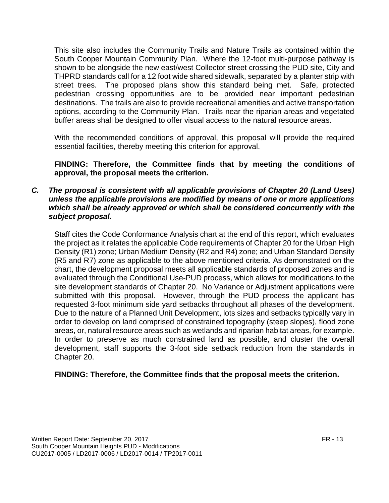This site also includes the Community Trails and Nature Trails as contained within the South Cooper Mountain Community Plan. Where the 12-foot multi-purpose pathway is shown to be alongside the new east/west Collector street crossing the PUD site, City and THPRD standards call for a 12 foot wide shared sidewalk, separated by a planter strip with street trees. The proposed plans show this standard being met. Safe, protected pedestrian crossing opportunities are to be provided near important pedestrian destinations. The trails are also to provide recreational amenities and active transportation options, according to the Community Plan. Trails near the riparian areas and vegetated buffer areas shall be designed to offer visual access to the natural resource areas.

With the recommended conditions of approval, this proposal will provide the required essential facilities, thereby meeting this criterion for approval.

**FINDING: Therefore, the Committee finds that by meeting the conditions of approval, the proposal meets the criterion.** 

#### *C. The proposal is consistent with all applicable provisions of Chapter 20 (Land Uses) unless the applicable provisions are modified by means of one or more applications which shall be already approved or which shall be considered concurrently with the subject proposal.*

Staff cites the Code Conformance Analysis chart at the end of this report, which evaluates the project as it relates the applicable Code requirements of Chapter 20 for the Urban High Density (R1) zone; Urban Medium Density (R2 and R4) zone; and Urban Standard Density (R5 and R7) zone as applicable to the above mentioned criteria. As demonstrated on the chart, the development proposal meets all applicable standards of proposed zones and is evaluated through the Conditional Use-PUD process, which allows for modifications to the site development standards of Chapter 20. No Variance or Adjustment applications were submitted with this proposal. However, through the PUD process the applicant has requested 3-foot minimum side yard setbacks throughout all phases of the development. Due to the nature of a Planned Unit Development, lots sizes and setbacks typically vary in order to develop on land comprised of constrained topography (steep slopes), flood zone areas, or, natural resource areas such as wetlands and riparian habitat areas, for example. In order to preserve as much constrained land as possible, and cluster the overall development, staff supports the 3-foot side setback reduction from the standards in Chapter 20.

# **FINDING: Therefore, the Committee finds that the proposal meets the criterion.**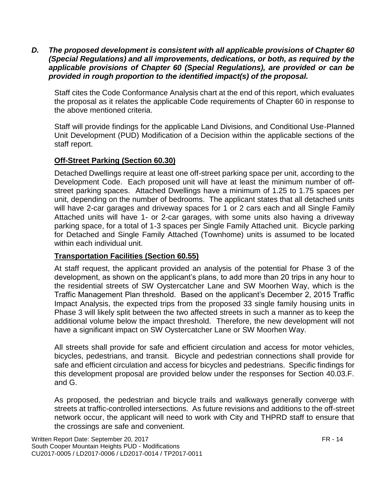*D. The proposed development is consistent with all applicable provisions of Chapter 60 (Special Regulations) and all improvements, dedications, or both, as required by the applicable provisions of Chapter 60 (Special Regulations), are provided or can be provided in rough proportion to the identified impact(s) of the proposal.*

Staff cites the Code Conformance Analysis chart at the end of this report, which evaluates the proposal as it relates the applicable Code requirements of Chapter 60 in response to the above mentioned criteria.

Staff will provide findings for the applicable Land Divisions, and Conditional Use-Planned Unit Development (PUD) Modification of a Decision within the applicable sections of the staff report.

#### **Off-Street Parking (Section 60.30)**

Detached Dwellings require at least one off-street parking space per unit, according to the Development Code. Each proposed unit will have at least the minimum number of offstreet parking spaces. Attached Dwellings have a minimum of 1.25 to 1.75 spaces per unit, depending on the number of bedrooms. The applicant states that all detached units will have 2-car garages and driveway spaces for 1 or 2 cars each and all Single Family Attached units will have 1- or 2-car garages, with some units also having a driveway parking space, for a total of 1-3 spaces per Single Family Attached unit. Bicycle parking for Detached and Single Family Attached (Townhome) units is assumed to be located within each individual unit.

#### **Transportation Facilities (Section 60.55)**

At staff request, the applicant provided an analysis of the potential for Phase 3 of the development, as shown on the applicant's plans, to add more than 20 trips in any hour to the residential streets of SW Oystercatcher Lane and SW Moorhen Way, which is the Traffic Management Plan threshold. Based on the applicant's December 2, 2015 Traffic Impact Analysis, the expected trips from the proposed 33 single family housing units in Phase 3 will likely split between the two affected streets in such a manner as to keep the additional volume below the impact threshold. Therefore, the new development will not have a significant impact on SW Oystercatcher Lane or SW Moorhen Way.

All streets shall provide for safe and efficient circulation and access for motor vehicles, bicycles, pedestrians, and transit. Bicycle and pedestrian connections shall provide for safe and efficient circulation and access for bicycles and pedestrians. Specific findings for this development proposal are provided below under the responses for Section 40.03.F. and G.

As proposed, the pedestrian and bicycle trails and walkways generally converge with streets at traffic-controlled intersections. As future revisions and additions to the off-street network occur, the applicant will need to work with City and THPRD staff to ensure that the crossings are safe and convenient.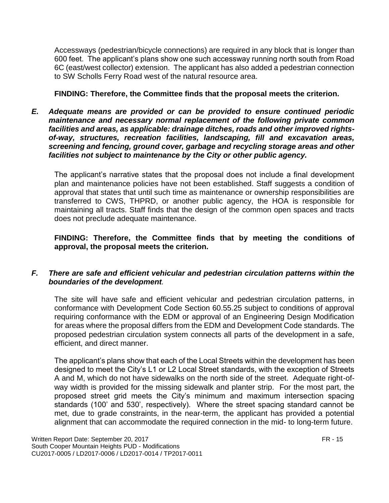Accessways (pedestrian/bicycle connections) are required in any block that is longer than 600 feet. The applicant's plans show one such accessway running north south from Road 6C (east/west collector) extension. The applicant has also added a pedestrian connection to SW Scholls Ferry Road west of the natural resource area.

#### **FINDING: Therefore, the Committee finds that the proposal meets the criterion.**

*E. Adequate means are provided or can be provided to ensure continued periodic maintenance and necessary normal replacement of the following private common facilities and areas, as applicable: drainage ditches, roads and other improved rightsof-way, structures, recreation facilities, landscaping, fill and excavation areas, screening and fencing, ground cover, garbage and recycling storage areas and other facilities not subject to maintenance by the City or other public agency.*

The applicant's narrative states that the proposal does not include a final development plan and maintenance policies have not been established. Staff suggests a condition of approval that states that until such time as maintenance or ownership responsibilities are transferred to CWS, THPRD, or another public agency, the HOA is responsible for maintaining all tracts. Staff finds that the design of the common open spaces and tracts does not preclude adequate maintenance.

**FINDING: Therefore, the Committee finds that by meeting the conditions of approval, the proposal meets the criterion.** 

#### *F. There are safe and efficient vehicular and pedestrian circulation patterns within the boundaries of the development.*

The site will have safe and efficient vehicular and pedestrian circulation patterns, in conformance with Development Code Section 60.55.25 subject to conditions of approval requiring conformance with the EDM or approval of an Engineering Design Modification for areas where the proposal differs from the EDM and Development Code standards. The proposed pedestrian circulation system connects all parts of the development in a safe, efficient, and direct manner.

The applicant's plans show that each of the Local Streets within the development has been designed to meet the City's L1 or L2 Local Street standards, with the exception of Streets A and M, which do not have sidewalks on the north side of the street. Adequate right-ofway width is provided for the missing sidewalk and planter strip. For the most part, the proposed street grid meets the City's minimum and maximum intersection spacing standards (100' and 530', respectively). Where the street spacing standard cannot be met, due to grade constraints, in the near-term, the applicant has provided a potential alignment that can accommodate the required connection in the mid- to long-term future.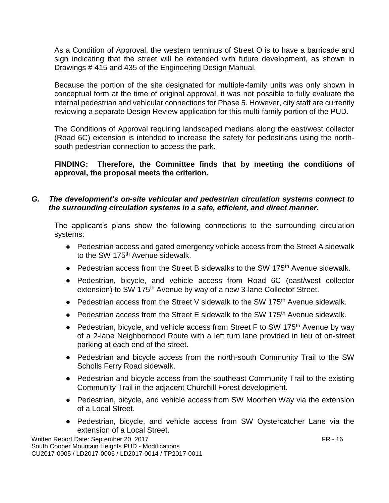As a Condition of Approval, the western terminus of Street O is to have a barricade and sign indicating that the street will be extended with future development, as shown in Drawings # 415 and 435 of the Engineering Design Manual.

Because the portion of the site designated for multiple-family units was only shown in conceptual form at the time of original approval, it was not possible to fully evaluate the internal pedestrian and vehicular connections for Phase 5. However, city staff are currently reviewing a separate Design Review application for this multi-family portion of the PUD.

The Conditions of Approval requiring landscaped medians along the east/west collector (Road 6C) extension is intended to increase the safety for pedestrians using the northsouth pedestrian connection to access the park.

#### **FINDING: Therefore, the Committee finds that by meeting the conditions of approval, the proposal meets the criterion.**

#### *G. The development's on-site vehicular and pedestrian circulation systems connect to the surrounding circulation systems in a safe, efficient, and direct manner.*

The applicant's plans show the following connections to the surrounding circulation systems:

- Pedestrian access and gated emergency vehicle access from the Street A sidewalk to the SW 175<sup>th</sup> Avenue sidewalk.
- Pedestrian access from the Street B sidewalks to the SW 175<sup>th</sup> Avenue sidewalk.
- Pedestrian, bicycle, and vehicle access from Road 6C (east/west collector extension) to SW 175<sup>th</sup> Avenue by way of a new 3-lane Collector Street.
- Pedestrian access from the Street V sidewalk to the SW 175<sup>th</sup> Avenue sidewalk.
- Pedestrian access from the Street E sidewalk to the SW 175<sup>th</sup> Avenue sidewalk.
- Pedestrian, bicycle, and vehicle access from Street F to SW 175<sup>th</sup> Avenue by way of a 2-lane Neighborhood Route with a left turn lane provided in lieu of on-street parking at each end of the street.
- Pedestrian and bicycle access from the north-south Community Trail to the SW Scholls Ferry Road sidewalk.
- Pedestrian and bicycle access from the southeast Community Trail to the existing Community Trail in the adjacent Churchill Forest development.
- Pedestrian, bicycle, and vehicle access from SW Moorhen Way via the extension of a Local Street.
- Pedestrian, bicycle, and vehicle access from SW Oystercatcher Lane via the extension of a Local Street.

Written Report Date: September 20, 2017 **FR** - 16 South Cooper Mountain Heights PUD - Modifications CU2017-0005 / LD2017-0006 / LD2017-0014 / TP2017-0011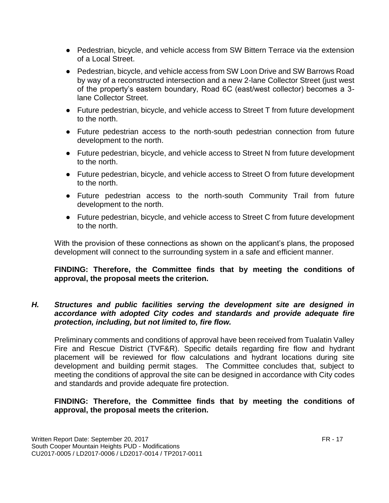- Pedestrian, bicycle, and vehicle access from SW Bittern Terrace via the extension of a Local Street.
- Pedestrian, bicycle, and vehicle access from SW Loon Drive and SW Barrows Road by way of a reconstructed intersection and a new 2-lane Collector Street (just west of the property's eastern boundary, Road 6C (east/west collector) becomes a 3 lane Collector Street.
- Future pedestrian, bicycle, and vehicle access to Street T from future development to the north.
- Future pedestrian access to the north-south pedestrian connection from future development to the north.
- Future pedestrian, bicycle, and vehicle access to Street N from future development to the north.
- Future pedestrian, bicycle, and vehicle access to Street O from future development to the north.
- Future pedestrian access to the north-south Community Trail from future development to the north.
- Future pedestrian, bicycle, and vehicle access to Street C from future development to the north.

With the provision of these connections as shown on the applicant's plans, the proposed development will connect to the surrounding system in a safe and efficient manner.

#### **FINDING: Therefore, the Committee finds that by meeting the conditions of approval, the proposal meets the criterion.**

#### *H. Structures and public facilities serving the development site are designed in accordance with adopted City codes and standards and provide adequate fire protection, including, but not limited to, fire flow.*

Preliminary comments and conditions of approval have been received from Tualatin Valley Fire and Rescue District (TVF&R). Specific details regarding fire flow and hydrant placement will be reviewed for flow calculations and hydrant locations during site development and building permit stages. The Committee concludes that, subject to meeting the conditions of approval the site can be designed in accordance with City codes and standards and provide adequate fire protection.

#### **FINDING: Therefore, the Committee finds that by meeting the conditions of approval, the proposal meets the criterion.**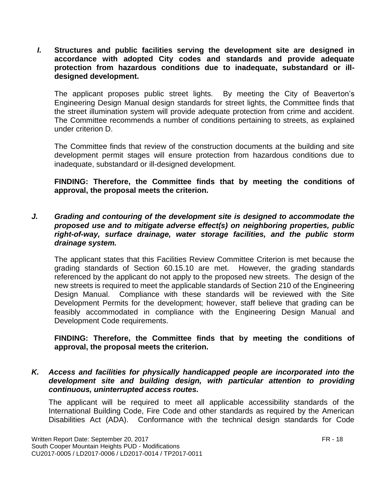*I.* **Structures and public facilities serving the development site are designed in accordance with adopted City codes and standards and provide adequate protection from hazardous conditions due to inadequate, substandard or illdesigned development.**

The applicant proposes public street lights. By meeting the City of Beaverton's Engineering Design Manual design standards for street lights, the Committee finds that the street illumination system will provide adequate protection from crime and accident. The Committee recommends a number of conditions pertaining to streets, as explained under criterion D.

The Committee finds that review of the construction documents at the building and site development permit stages will ensure protection from hazardous conditions due to inadequate, substandard or ill-designed development.

#### **FINDING: Therefore, the Committee finds that by meeting the conditions of approval, the proposal meets the criterion.**

*J. Grading and contouring of the development site is designed to accommodate the proposed use and to mitigate adverse effect(s) on neighboring properties, public right-of-way, surface drainage, water storage facilities, and the public storm drainage system.*

The applicant states that this Facilities Review Committee Criterion is met because the grading standards of Section 60.15.10 are met. However, the grading standards referenced by the applicant do not apply to the proposed new streets. The design of the new streets is required to meet the applicable standards of Section 210 of the Engineering Design Manual. Compliance with these standards will be reviewed with the Site Development Permits for the development; however, staff believe that grading can be feasibly accommodated in compliance with the Engineering Design Manual and Development Code requirements.

#### **FINDING: Therefore, the Committee finds that by meeting the conditions of approval, the proposal meets the criterion.**

*K. Access and facilities for physically handicapped people are incorporated into the development site and building design, with particular attention to providing continuous, uninterrupted access routes.*

The applicant will be required to meet all applicable accessibility standards of the International Building Code, Fire Code and other standards as required by the American Disabilities Act (ADA). Conformance with the technical design standards for Code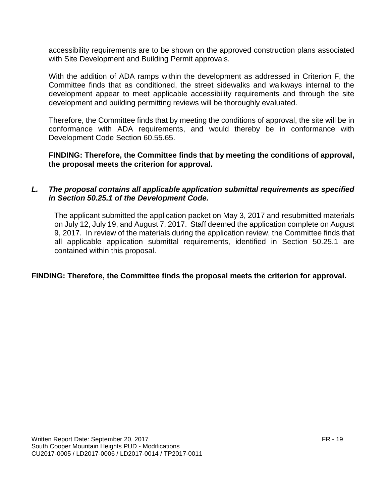accessibility requirements are to be shown on the approved construction plans associated with Site Development and Building Permit approvals.

With the addition of ADA ramps within the development as addressed in Criterion F, the Committee finds that as conditioned, the street sidewalks and walkways internal to the development appear to meet applicable accessibility requirements and through the site development and building permitting reviews will be thoroughly evaluated.

Therefore, the Committee finds that by meeting the conditions of approval, the site will be in conformance with ADA requirements, and would thereby be in conformance with Development Code Section 60.55.65.

**FINDING: Therefore, the Committee finds that by meeting the conditions of approval, the proposal meets the criterion for approval.**

#### *L. The proposal contains all applicable application submittal requirements as specified in Section 50.25.1 of the Development Code.*

The applicant submitted the application packet on May 3, 2017 and resubmitted materials on July 12, July 19, and August 7, 2017. Staff deemed the application complete on August 9, 2017. In review of the materials during the application review, the Committee finds that all applicable application submittal requirements, identified in Section 50.25.1 are contained within this proposal.

#### **FINDING: Therefore, the Committee finds the proposal meets the criterion for approval.**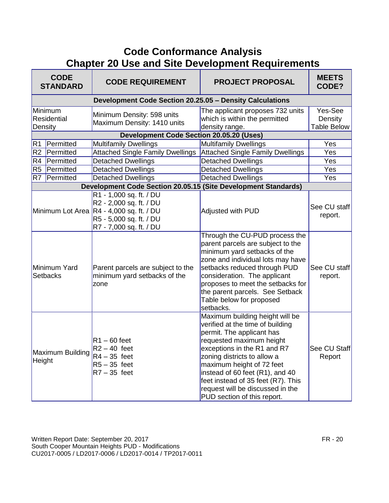# **Code Conformance Analysis Chapter 20 Use and Site Development Requirements**

| <b>CODE</b><br><b>STANDARD</b>           |                                                          | <b>CODE REQUIREMENT</b>                                                                                                                              | <b>PROJECT PROPOSAL</b>                                                                                                                                                                                                                                                                                                                                             | <b>MEETS</b><br>CODE?                    |  |
|------------------------------------------|----------------------------------------------------------|------------------------------------------------------------------------------------------------------------------------------------------------------|---------------------------------------------------------------------------------------------------------------------------------------------------------------------------------------------------------------------------------------------------------------------------------------------------------------------------------------------------------------------|------------------------------------------|--|
|                                          | Development Code Section 20.25.05 - Density Calculations |                                                                                                                                                      |                                                                                                                                                                                                                                                                                                                                                                     |                                          |  |
| Minimum<br><b>Residential</b><br>Density |                                                          | Minimum Density: 598 units<br>Maximum Density: 1410 units                                                                                            | The applicant proposes 732 units<br>which is within the permitted<br>density range.                                                                                                                                                                                                                                                                                 | Yes-See<br>Density<br><b>Table Below</b> |  |
|                                          |                                                          | <b>Development Code Section 20.05.20 (Uses)</b>                                                                                                      |                                                                                                                                                                                                                                                                                                                                                                     |                                          |  |
| Permitted<br>R <sub>1</sub>              |                                                          | <b>Multifamily Dwellings</b>                                                                                                                         | <b>Multifamily Dwellings</b>                                                                                                                                                                                                                                                                                                                                        | Yes                                      |  |
| R <sub>2</sub><br>Permitted              |                                                          | <b>Attached Single Family Dwellings</b>                                                                                                              | <b>Attached Single Family Dwellings</b>                                                                                                                                                                                                                                                                                                                             | Yes                                      |  |
| R4<br>Permitted                          |                                                          | <b>Detached Dwellings</b>                                                                                                                            | <b>Detached Dwellings</b>                                                                                                                                                                                                                                                                                                                                           | Yes                                      |  |
| R <sub>5</sub><br>Permitted              |                                                          | Detached Dwellings                                                                                                                                   | Detached Dwellings                                                                                                                                                                                                                                                                                                                                                  | Yes                                      |  |
| Permitted<br>R <sub>7</sub>              |                                                          | <b>Detached Dwellings</b>                                                                                                                            | <b>Detached Dwellings</b>                                                                                                                                                                                                                                                                                                                                           | Yes                                      |  |
|                                          |                                                          | Development Code Section 20.05.15 (Site Development Standards)                                                                                       |                                                                                                                                                                                                                                                                                                                                                                     |                                          |  |
|                                          |                                                          | R1 - 1,000 sq. ft. / DU<br>R2 - 2,000 sq. ft. / DU<br>Minimum Lot Area R4 - 4,000 sq. ft. / DU<br>R5 - 5,000 sq. ft. / DU<br>R7 - 7,000 sq. ft. / DU | Adjusted with PUD                                                                                                                                                                                                                                                                                                                                                   | See CU staff<br>report.                  |  |
| Minimum Yard<br><b>Setbacks</b>          |                                                          | Parent parcels are subject to the<br>minimum yard setbacks of the<br>zone                                                                            | Through the CU-PUD process the<br>parent parcels are subject to the<br>minimum yard setbacks of the<br>zone and individual lots may have<br>setbacks reduced through PUD<br>consideration. The applicant<br>proposes to meet the setbacks for<br>the parent parcels. See Setback<br>Table below for proposed<br>setbacks.                                           | See CU staff<br>report.                  |  |
| <b>Maximum Building</b><br>Height        |                                                          | $R1 - 60$ feet<br>$R2 - 40$ feet<br>$R4 - 35$ feet<br>$R5 - 35$ feet<br>$R7 - 35$ feet                                                               | Maximum building height will be<br>verified at the time of building<br>permit. The applicant has<br>requested maximum height<br>exceptions in the R1 and R7<br>zoning districts to allow a<br>maximum height of 72 feet<br>instead of 60 feet (R1), and 40<br>feet instead of 35 feet (R7). This<br>request will be discussed in the<br>PUD section of this report. | See CU Staff<br>Report                   |  |

Written Report Date: September 20, 2017 **FR - 20** South Cooper Mountain Heights PUD - Modifications CU2017-0005 / LD2017-0006 / LD2017-0014 / TP2017-0011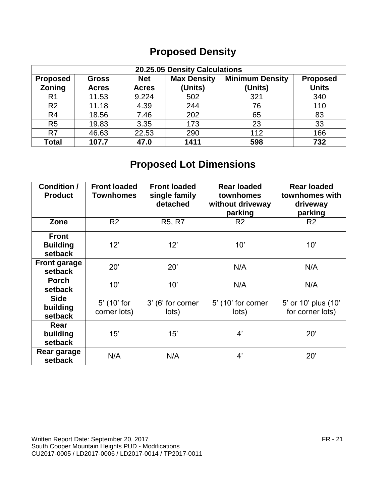# **Proposed Density**

| 20.25.05 Density Calculations                                                                                    |              |              |         |         |              |  |
|------------------------------------------------------------------------------------------------------------------|--------------|--------------|---------|---------|--------------|--|
| <b>Minimum Density</b><br><b>Max Density</b><br><b>Net</b><br><b>Proposed</b><br><b>Proposed</b><br><b>Gross</b> |              |              |         |         |              |  |
| Zoning                                                                                                           | <b>Acres</b> | <b>Acres</b> | (Units) | (Units) | <b>Units</b> |  |
| R <sub>1</sub>                                                                                                   | 11.53        | 9.224        | 502     | 321     | 340          |  |
| R <sub>2</sub>                                                                                                   | 11.18        | 4.39         | 244     | 76      | 110          |  |
| R <sub>4</sub>                                                                                                   | 18.56        | 7.46         | 202     | 65      | 83           |  |
| R <sub>5</sub>                                                                                                   | 19.83        | 3.35         | 173     | 23      | 33           |  |
| R7                                                                                                               | 46.63        | 22.53        | 290     | 112     | 166          |  |
| <b>Total</b>                                                                                                     | 107.7        | 47.0         | 1411    | 598     | 732          |  |

# **Proposed Lot Dimensions**

| <b>Condition /</b><br><b>Product</b>       | <b>Front loaded</b><br><b>Townhomes</b> | <b>Front loaded</b><br>single family<br>detached | <b>Rear loaded</b><br>townhomes<br>without driveway<br>parking | <b>Rear loaded</b><br>townhomes with<br>driveway<br>parking |
|--------------------------------------------|-----------------------------------------|--------------------------------------------------|----------------------------------------------------------------|-------------------------------------------------------------|
| Zone                                       | R <sub>2</sub>                          | R <sub>5</sub> , R <sub>7</sub>                  | R <sub>2</sub>                                                 | R <sub>2</sub>                                              |
| <b>Front</b><br><b>Building</b><br>setback | 12'                                     | 12'                                              | 10'                                                            | 10'                                                         |
| <b>Front garage</b><br>setback             | 20'                                     | 20'                                              | N/A                                                            | N/A                                                         |
| <b>Porch</b><br>setback                    | 10'                                     | 10'                                              | N/A                                                            | N/A                                                         |
| <b>Side</b><br>building<br>setback         | 5' (10' for<br>corner lots)             | 3' (6' for corner<br>lots)                       | 5' (10' for corner<br>lots)                                    | 5' or 10' plus (10'<br>for corner lots)                     |
| Rear<br>building<br>setback                | 15'                                     | 15'                                              | 4'                                                             | 20'                                                         |
| Rear garage<br>setback                     | N/A                                     | N/A                                              | 4'                                                             | 20'                                                         |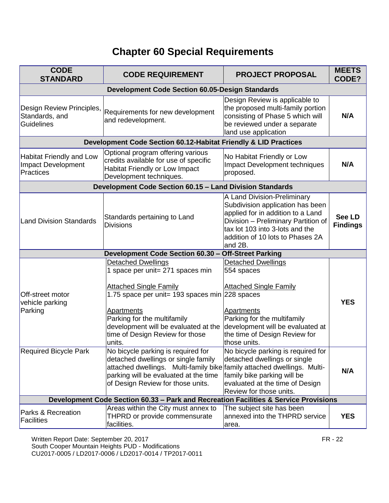# **Chapter 60 Special Requirements**

| <b>CODE</b><br><b>STANDARD</b>                                     | <b>CODE REQUIREMENT</b>                                                                                                                                                                                                            | <b>PROJECT PROPOSAL</b>                                                                                                                                                                                                       | <b>MEETS</b><br>CODE?            |  |  |  |  |  |
|--------------------------------------------------------------------|------------------------------------------------------------------------------------------------------------------------------------------------------------------------------------------------------------------------------------|-------------------------------------------------------------------------------------------------------------------------------------------------------------------------------------------------------------------------------|----------------------------------|--|--|--|--|--|
|                                                                    | <b>Development Code Section 60.05-Design Standards</b>                                                                                                                                                                             |                                                                                                                                                                                                                               |                                  |  |  |  |  |  |
| Design Review Principles,<br>Standards, and<br><b>Guidelines</b>   | Requirements for new development<br>and redevelopment.                                                                                                                                                                             | Design Review is applicable to<br>the proposed multi-family portion<br>consisting of Phase 5 which will<br>be reviewed under a separate<br>land use application                                                               | N/A                              |  |  |  |  |  |
|                                                                    | Development Code Section 60.12-Habitat Friendly & LID Practices                                                                                                                                                                    |                                                                                                                                                                                                                               |                                  |  |  |  |  |  |
| <b>Habitat Friendly and Low</b><br>Impact Development<br>Practices | Optional program offering various<br>credits available for use of specific<br>Habitat Friendly or Low Impact<br>Development techniques.                                                                                            | No Habitat Friendly or Low<br>Impact Development techniques<br>proposed.                                                                                                                                                      | N/A                              |  |  |  |  |  |
|                                                                    | Development Code Section 60.15 - Land Division Standards                                                                                                                                                                           |                                                                                                                                                                                                                               |                                  |  |  |  |  |  |
| Land Division Standards                                            | Standards pertaining to Land<br><b>Divisions</b>                                                                                                                                                                                   | A Land Division-Preliminary<br>Subdivision application has been<br>applied for in addition to a Land<br>Division - Preliminary Partition of<br>tax lot 103 into 3-lots and the<br>addition of 10 lots to Phases 2A<br>and 2B. | <b>See LD</b><br><b>Findings</b> |  |  |  |  |  |
|                                                                    | Development Code Section 60.30 - Off-Street Parking                                                                                                                                                                                |                                                                                                                                                                                                                               |                                  |  |  |  |  |  |
| <b>Off-street motor</b>                                            | <b>Detached Dwellings</b><br>1 space per unit= 271 spaces min<br><b>Attached Single Family</b><br>1.75 space per unit = 193 spaces min 228 spaces                                                                                  | <b>Detached Dwellings</b><br>554 spaces<br><b>Attached Single Family</b>                                                                                                                                                      |                                  |  |  |  |  |  |
| vehicle parking<br>Parking                                         | <b>Apartments</b><br>Parking for the multifamily<br>development will be evaluated at the<br>time of Design Review for those<br>units.                                                                                              | Apartments<br>Parking for the multifamily<br>development will be evaluated at<br>the time of Design Review for<br>those units.                                                                                                | <b>YES</b>                       |  |  |  |  |  |
| <b>Required Bicycle Park</b>                                       | No bicycle parking is required for<br>detached dwellings or single family<br>attached dwellings. Multi-family bike family attached dwellings. Multi-<br>parking will be evaluated at the time<br>of Design Review for those units. | No bicycle parking is required for<br>detached dwellings or single<br>family bike parking will be<br>evaluated at the time of Design<br>Review for those units.                                                               | N/A                              |  |  |  |  |  |
|                                                                    | Development Code Section 60.33 - Park and Recreation Facilities & Service Provisions                                                                                                                                               |                                                                                                                                                                                                                               |                                  |  |  |  |  |  |
| Parks & Recreation<br>Facilities                                   | Areas within the City must annex to<br>THPRD or provide commensurate<br>facilities.                                                                                                                                                | The subject site has been<br>annexed into the THPRD service<br>area.                                                                                                                                                          | <b>YES</b>                       |  |  |  |  |  |

Written Report Date: September 20, 2017 **FR - 22** FR - 22 South Cooper Mountain Heights PUD - Modifications CU2017-0005 / LD2017-0006 / LD2017-0014 / TP2017-0011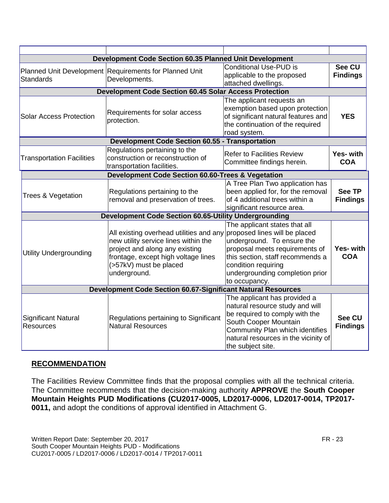| <b>Development Code Section 60.35 Planned Unit Development</b>      |                                                                                                                                                                                                    |                                                                                                                                                                                                                                               |                                  |
|---------------------------------------------------------------------|----------------------------------------------------------------------------------------------------------------------------------------------------------------------------------------------------|-----------------------------------------------------------------------------------------------------------------------------------------------------------------------------------------------------------------------------------------------|----------------------------------|
| <b>Standards</b>                                                    | Planned Unit Development Requirements for Planned Unit<br>Developments.                                                                                                                            | <b>Conditional Use-PUD is</b><br>applicable to the proposed<br>attached dwellings.                                                                                                                                                            | <b>See CU</b><br><b>Findings</b> |
| <b>Development Code Section 60.45 Solar Access Protection</b>       |                                                                                                                                                                                                    |                                                                                                                                                                                                                                               |                                  |
| <b>Solar Access Protection</b>                                      | Requirements for solar access<br>protection.                                                                                                                                                       | The applicant requests an<br>exemption based upon protection<br>of significant natural features and<br>the continuation of the required<br>road system.                                                                                       | <b>YES</b>                       |
| <b>Development Code Section 60.55 - Transportation</b>              |                                                                                                                                                                                                    |                                                                                                                                                                                                                                               |                                  |
| <b>Transportation Facilities</b>                                    | Regulations pertaining to the<br>construction or reconstruction of<br>transportation facilities.                                                                                                   | <b>Refer to Facilities Review</b><br>Committee findings herein.                                                                                                                                                                               | Yes- with<br><b>COA</b>          |
| Development Code Section 60.60-Trees & Vegetation                   |                                                                                                                                                                                                    |                                                                                                                                                                                                                                               |                                  |
| Trees & Vegetation                                                  | Regulations pertaining to the<br>removal and preservation of trees.                                                                                                                                | A Tree Plan Two application has<br>been applied for, for the removal<br>of 4 additional trees within a<br>significant resource area.                                                                                                          | <b>See TP</b><br><b>Findings</b> |
| Development Code Section 60.65-Utility Undergrounding               |                                                                                                                                                                                                    |                                                                                                                                                                                                                                               |                                  |
| <b>Utility Undergrounding</b>                                       | All existing overhead utilities and any<br>new utility service lines within the<br>project and along any existing<br>frontage, except high voltage lines<br>(>57kV) must be placed<br>underground. | The applicant states that all<br>proposed lines will be placed<br>underground. To ensure the<br>proposal meets requirements of<br>this section, staff recommends a<br>condition requiring<br>undergrounding completion prior<br>to occupancy. | Yes- with<br><b>COA</b>          |
| <b>Development Code Section 60.67-Significant Natural Resources</b> |                                                                                                                                                                                                    |                                                                                                                                                                                                                                               |                                  |
| <b>Significant Natural</b><br><b>Resources</b>                      | Regulations pertaining to Significant<br><b>Natural Resources</b>                                                                                                                                  | The applicant has provided a<br>natural resource study and will<br>be required to comply with the<br>South Cooper Mountain<br>Community Plan which identifies<br>natural resources in the vicinity of<br>the subject site.                    | <b>See CU</b><br><b>Findings</b> |

#### **RECOMMENDATION**

The Facilities Review Committee finds that the proposal complies with all the technical criteria. The Committee recommends that the decision-making authority **APPROVE** the **South Cooper Mountain Heights PUD Modifications (CU2017-0005, LD2017-0006, LD2017-0014, TP2017- 0011,** and adopt the conditions of approval identified in Attachment G.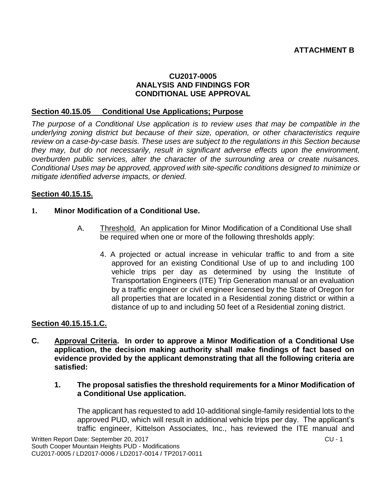#### **CU2017-0005 ANALYSIS AND FINDINGS FOR CONDITIONAL USE APPROVAL**

#### **Section 40.15.05 Conditional Use Applications; Purpose**

*The purpose of a Conditional Use application is to review uses that may be compatible in the underlying zoning district but because of their size, operation, or other characteristics require review on a case-by-case basis. These uses are subject to the regulations in this Section because they may, but do not necessarily, result in significant adverse effects upon the environment, overburden public services, alter the character of the surrounding area or create nuisances. Conditional Uses may be approved, approved with site-specific conditions designed to minimize or mitigate identified adverse impacts, or denied.*

#### **Section 40.15.15.**

#### **1. Minor Modification of a Conditional Use.**

- A. Threshold. An application for Minor Modification of a Conditional Use shall be required when one or more of the following thresholds apply:
	- 4. A projected or actual increase in vehicular traffic to and from a site approved for an existing Conditional Use of up to and including 100 vehicle trips per day as determined by using the Institute of Transportation Engineers (ITE) Trip Generation manual or an evaluation by a traffic engineer or civil engineer licensed by the State of Oregon for all properties that are located in a Residential zoning district or within a distance of up to and including 50 feet of a Residential zoning district.

#### **Section 40.15.15.1.C.**

**C. Approval Criteria. In order to approve a Minor Modification of a Conditional Use application, the decision making authority shall make findings of fact based on evidence provided by the applicant demonstrating that all the following criteria are satisfied:**

#### **1. The proposal satisfies the threshold requirements for a Minor Modification of a Conditional Use application.**

The applicant has requested to add 10-additional single-family residential lots to the approved PUD, which will result in additional vehicle trips per day. The applicant's traffic engineer, Kittelson Associates, Inc., has reviewed the ITE manual and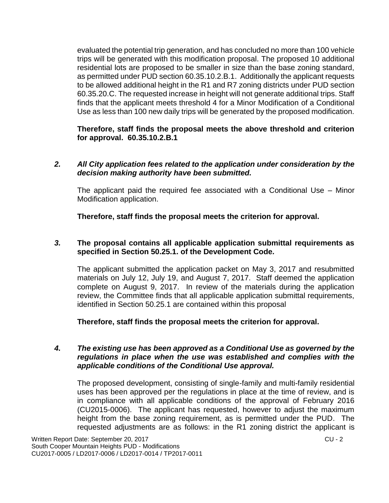evaluated the potential trip generation, and has concluded no more than 100 vehicle trips will be generated with this modification proposal. The proposed 10 additional residential lots are proposed to be smaller in size than the base zoning standard, as permitted under PUD section 60.35.10.2.B.1. Additionally the applicant requests to be allowed additional height in the R1 and R7 zoning districts under PUD section 60.35.20.C. The requested increase in height will not generate additional trips. Staff finds that the applicant meets threshold 4 for a Minor Modification of a Conditional Use as less than 100 new daily trips will be generated by the proposed modification.

**Therefore, staff finds the proposal meets the above threshold and criterion for approval. 60.35.10.2.B.1**

#### *2. All City application fees related to the application under consideration by the decision making authority have been submitted.*

The applicant paid the required fee associated with a Conditional Use – Minor Modification application.

**Therefore, staff finds the proposal meets the criterion for approval.**

#### *3.* **The proposal contains all applicable application submittal requirements as specified in Section 50.25.1. of the Development Code***.*

The applicant submitted the application packet on May 3, 2017 and resubmitted materials on July 12, July 19, and August 7, 2017. Staff deemed the application complete on August 9, 2017. In review of the materials during the application review, the Committee finds that all applicable application submittal requirements, identified in Section 50.25.1 are contained within this proposal

**Therefore, staff finds the proposal meets the criterion for approval.**

#### *4. The existing use has been approved as a Conditional Use as governed by the regulations in place when the use was established and complies with the applicable conditions of the Conditional Use approval.*

The proposed development, consisting of single-family and multi-family residential uses has been approved per the regulations in place at the time of review, and is in compliance with all applicable conditions of the approval of February 2016 (CU2015-0006). The applicant has requested, however to adjust the maximum height from the base zoning requirement, as is permitted under the PUD. The requested adjustments are as follows: in the R1 zoning district the applicant is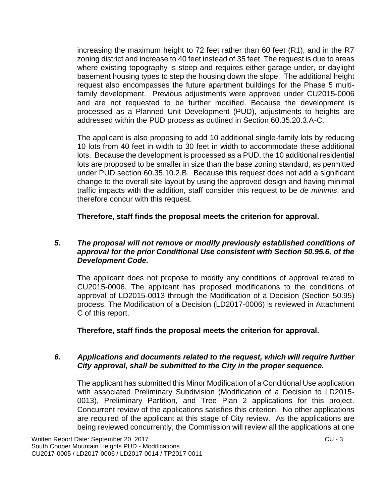increasing the maximum height to 72 feet rather than 60 feet (R1), and in the R7 zoning district and increase to 40 feet instead of 35 feet. The request is due to areas where existing topography is steep and requires either garage under, or daylight basement housing types to step the housing down the slope. The additional height request also encompasses the future apartment buildings for the Phase 5 multifamily development. Previous adjustments were approved under CU2015-0006 and are not requested to be further modified. Because the development is processed as a Planned Unit Development (PUD), adjustments to heights are addressed within the PUD process as outlined in Section 60.35.20.3.A-C.

The applicant is also proposing to add 10 additional single-family lots by reducing 10 lots from 40 feet in width to 30 feet in width to accommodate these additional lots. Because the development is processed as a PUD, the 10 additional residential lots are proposed to be smaller in size than the base zoning standard, as permitted under PUD section 60.35.10.2.B. Because this request does not add a significant change to the overall site layout by using the approved design and having minimal traffic impacts with the addition, staff consider this request to be *de minimis*, and therefore concur with this request.

**Therefore, staff finds the proposal meets the criterion for approval.**

#### *5. The proposal will not remove or modify previously established conditions of approval for the prior Conditional Use consistent with Section 50.95.6. of the Development Code.*

The applicant does not propose to modify any conditions of approval related to CU2015-0006. The applicant has proposed modifications to the conditions of approval of LD2015-0013 through the Modification of a Decision (Section 50.95) process. The Modification of a Decision (LD2017-0006) is reviewed in Attachment C of this report.

**Therefore, staff finds the proposal meets the criterion for approval.**

#### *6. Applications and documents related to the request, which will require further City approval, shall be submitted to the City in the proper sequence.*

The applicant has submitted this Minor Modification of a Conditional Use application with associated Preliminary Subdivision (Modification of a Decision to LD2015- 0013), Preliminary Partition, and Tree Plan 2 applications for this project. Concurrent review of the applications satisfies this criterion. No other applications are required of the applicant at this stage of City review. As the applications are being reviewed concurrently, the Commission will review all the applications at one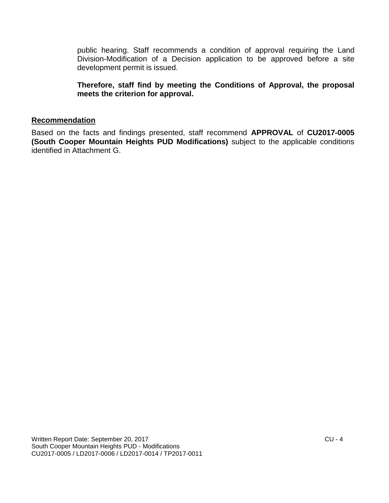public hearing. Staff recommends a condition of approval requiring the Land Division-Modification of a Decision application to be approved before a site development permit is issued.

**Therefore, staff find by meeting the Conditions of Approval, the proposal meets the criterion for approval.**

#### **Recommendation**

Based on the facts and findings presented, staff recommend **APPROVAL** of **CU2017-0005 (South Cooper Mountain Heights PUD Modifications)** subject to the applicable conditions identified in Attachment G.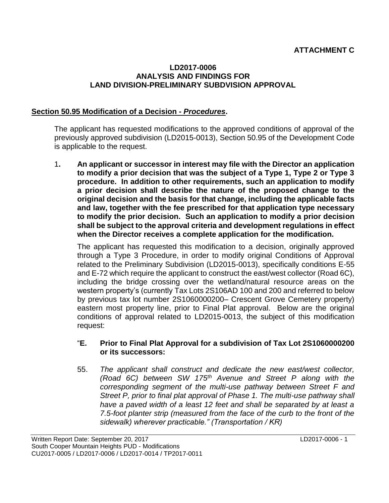# **ATTACHMENT C**

#### **LD2017-0006 ANALYSIS AND FINDINGS FOR LAND DIVISION-PRELIMINARY SUBDVISION APPROVAL**

#### **Section 50.95 Modification of a Decision -** *Procedures***.**

The applicant has requested modifications to the approved conditions of approval of the previously approved subdivision (LD2015-0013), Section 50.95 of the Development Code is applicable to the request.

1**. An applicant or successor in interest may file with the Director an application to modify a prior decision that was the subject of a Type 1, Type 2 or Type 3 procedure. In addition to other requirements, such an application to modify a prior decision shall describe the nature of the proposed change to the original decision and the basis for that change, including the applicable facts and law, together with the fee prescribed for that application type necessary to modify the prior decision. Such an application to modify a prior decision shall be subject to the approval criteria and development regulations in effect when the Director receives a complete application for the modification.**

The applicant has requested this modification to a decision, originally approved through a Type 3 Procedure, in order to modify original Conditions of Approval related to the Preliminary Subdivision (LD2015-0013), specifically conditions E-55 and E-72 which require the applicant to construct the east/west collector (Road 6C), including the bridge crossing over the wetland/natural resource areas on the western property's (currently Tax Lots 2S106AD 100 and 200 and referred to below by previous tax lot number 2S1060000200– Crescent Grove Cemetery property) eastern most property line, prior to Final Plat approval. Below are the original conditions of approval related to LD2015-0013, the subject of this modification request:

#### "**E. Prior to Final Plat Approval for a subdivision of Tax Lot 2S1060000200 or its successors:**

55. *The applicant shall construct and dedicate the new east/west collector, (Road 6C) between SW 175th Avenue and Street P along with the corresponding segment of the multi-use pathway between Street F and Street P, prior to final plat approval of Phase 1. The multi-use pathway shall have a paved width of a least 12 feet and shall be separated by at least a 7.5-foot planter strip (measured from the face of the curb to the front of the sidewalk) wherever practicable." (Transportation / KR)*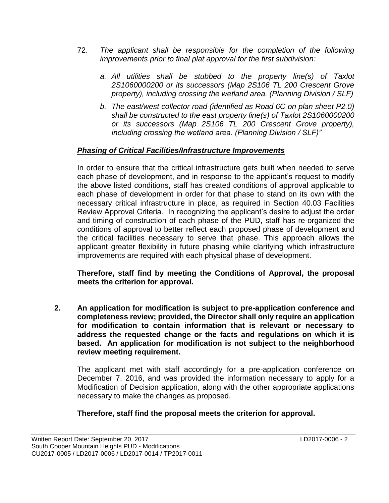- 72. *The applicant shall be responsible for the completion of the following improvements prior to final plat approval for the first subdivision:*
	- *a. All utilities shall be stubbed to the property line(s) of Taxlot 2S1060000200 or its successors (Map 2S106 TL 200 Crescent Grove property), including crossing the wetland area. (Planning Division / SLF)*
	- *b. The east/west collector road (identified as Road 6C on plan sheet P2.0) shall be constructed to the east property line(s) of Taxlot 2S1060000200 or its successors (Map 2S106 TL 200 Crescent Grove property), including crossing the wetland area. (Planning Division / SLF)"*

# *Phasing of Critical Facilities/Infrastructure Improvements*

In order to ensure that the critical infrastructure gets built when needed to serve each phase of development, and in response to the applicant's request to modify the above listed conditions, staff has created conditions of approval applicable to each phase of development in order for that phase to stand on its own with the necessary critical infrastructure in place, as required in Section 40.03 Facilities Review Approval Criteria. In recognizing the applicant's desire to adjust the order and timing of construction of each phase of the PUD, staff has re-organized the conditions of approval to better reflect each proposed phase of development and the critical facilities necessary to serve that phase. This approach allows the applicant greater flexibility in future phasing while clarifying which infrastructure improvements are required with each physical phase of development.

**Therefore, staff find by meeting the Conditions of Approval, the proposal meets the criterion for approval.**

**2. An application for modification is subject to pre-application conference and completeness review; provided, the Director shall only require an application for modification to contain information that is relevant or necessary to address the requested change or the facts and regulations on which it is based. An application for modification is not subject to the neighborhood review meeting requirement.**

The applicant met with staff accordingly for a pre-application conference on December 7, 2016, and was provided the information necessary to apply for a Modification of Decision application, along with the other appropriate applications necessary to make the changes as proposed.

**Therefore, staff find the proposal meets the criterion for approval.**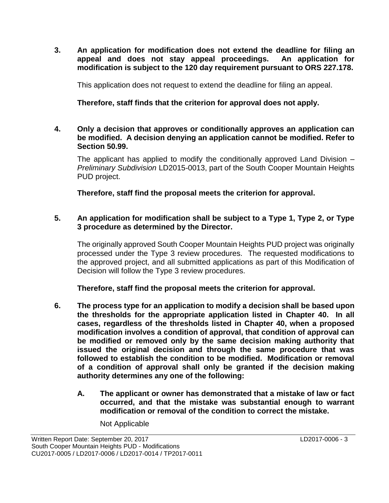**3. An application for modification does not extend the deadline for filing an appeal and does not stay appeal proceedings. An application for modification is subject to the 120 day requirement pursuant to ORS 227.178.**

This application does not request to extend the deadline for filing an appeal.

**Therefore, staff finds that the criterion for approval does not apply.**

#### **4. Only a decision that approves or conditionally approves an application can be modified. A decision denying an application cannot be modified. Refer to Section 50.99.**

The applicant has applied to modify the conditionally approved Land Division – *Preliminary Subdivision* LD2015-0013, part of the South Cooper Mountain Heights PUD project.

**Therefore, staff find the proposal meets the criterion for approval.**

#### **5. An application for modification shall be subject to a Type 1, Type 2, or Type 3 procedure as determined by the Director.**

The originally approved South Cooper Mountain Heights PUD project was originally processed under the Type 3 review procedures. The requested modifications to the approved project, and all submitted applications as part of this Modification of Decision will follow the Type 3 review procedures.

**Therefore, staff find the proposal meets the criterion for approval.**

- **6. The process type for an application to modify a decision shall be based upon the thresholds for the appropriate application listed in Chapter 40. In all cases, regardless of the thresholds listed in Chapter 40, when a proposed modification involves a condition of approval, that condition of approval can be modified or removed only by the same decision making authority that issued the original decision and through the same procedure that was followed to establish the condition to be modified. Modification or removal of a condition of approval shall only be granted if the decision making authority determines any one of the following:**
	- **A. The applicant or owner has demonstrated that a mistake of law or fact occurred, and that the mistake was substantial enough to warrant modification or removal of the condition to correct the mistake.**

Not Applicable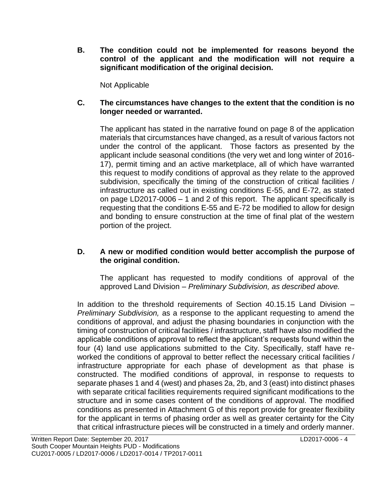**B. The condition could not be implemented for reasons beyond the control of the applicant and the modification will not require a significant modification of the original decision.**

Not Applicable

#### **C. The circumstances have changes to the extent that the condition is no longer needed or warranted.**

The applicant has stated in the narrative found on page 8 of the application materials that circumstances have changed, as a result of various factors not under the control of the applicant. Those factors as presented by the applicant include seasonal conditions (the very wet and long winter of 2016- 17), permit timing and an active marketplace, all of which have warranted this request to modify conditions of approval as they relate to the approved subdivision, specifically the timing of the construction of critical facilities / infrastructure as called out in existing conditions E-55, and E-72, as stated on page LD2017-0006 – 1 and 2 of this report. The applicant specifically is requesting that the conditions E-55 and E-72 be modified to allow for design and bonding to ensure construction at the time of final plat of the western portion of the project.

#### **D. A new or modified condition would better accomplish the purpose of the original condition.**

The applicant has requested to modify conditions of approval of the approved Land Division – *Preliminary Subdivision, as described above.*

In addition to the threshold requirements of Section 40.15.15 Land Division – *Preliminary Subdivision,* as a response to the applicant requesting to amend the conditions of approval, and adjust the phasing boundaries in conjunction with the timing of construction of critical facilities / infrastructure, staff have also modified the applicable conditions of approval to reflect the applicant's requests found within the four (4) land use applications submitted to the City. Specifically, staff have reworked the conditions of approval to better reflect the necessary critical facilities / infrastructure appropriate for each phase of development as that phase is constructed. The modified conditions of approval, in response to requests to separate phases 1 and 4 (west) and phases 2a, 2b, and 3 (east) into distinct phases with separate critical facilities requirements required significant modifications to the structure and in some cases content of the conditions of approval. The modified conditions as presented in Attachment G of this report provide for greater flexibility for the applicant in terms of phasing order as well as greater certainty for the City that critical infrastructure pieces will be constructed in a timely and orderly manner.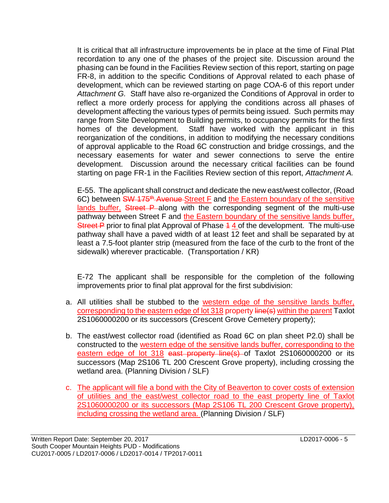It is critical that all infrastructure improvements be in place at the time of Final Plat recordation to any one of the phases of the project site. Discussion around the phasing can be found in the Facilities Review section of this report, starting on page FR-8, in addition to the specific Conditions of Approval related to each phase of development, which can be reviewed starting on page COA-6 of this report under *Attachment G.* Staff have also re-organized the Conditions of Approval in order to reflect a more orderly process for applying the conditions across all phases of development affecting the various types of permits being issued. Such permits may range from Site Development to Building permits, to occupancy permits for the first homes of the development. Staff have worked with the applicant in this reorganization of the conditions, in addition to modifying the necessary conditions of approval applicable to the Road 6C construction and bridge crossings, and the necessary easements for water and sewer connections to serve the entire development. Discussion around the necessary critical facilities can be found starting on page FR-1 in the Facilities Review section of this report, *Attachment A.* 

E-55. The applicant shall construct and dedicate the new east/west collector, (Road 6C) between SW 175<sup>th</sup> Avenue Street F and the Eastern boundary of the sensitive lands buffer, Street P along with the corresponding segment of the multi-use pathway between Street F and the Eastern boundary of the sensitive lands buffer, Street P prior to final plat Approval of Phase 44 of the development. The multi-use pathway shall have a paved width of at least 12 feet and shall be separated by at least a 7.5-foot planter strip (measured from the face of the curb to the front of the sidewalk) wherever practicable. (Transportation / KR)

E-72 The applicant shall be responsible for the completion of the following improvements prior to final plat approval for the first subdivision:

- a. All utilities shall be stubbed to the western edge of the sensitive lands buffer, corresponding to the eastern edge of lot 318 property line(s) within the parent Taxlot 2S1060000200 or its successors (Crescent Grove Cemetery property);
- b. The east/west collector road (identified as Road 6C on plan sheet P2.0) shall be constructed to the western edge of the sensitive lands buffer, corresponding to the eastern edge of lot 318 east property line(s) of Taxlot 2S1060000200 or its successors (Map 2S106 TL 200 Crescent Grove property), including crossing the wetland area. (Planning Division / SLF)
- c. The applicant will file a bond with the City of Beaverton to cover costs of extension of utilities and the east/west collector road to the east property line of Taxlot 2S1060000200 or its successors (Map 2S106 TL 200 Crescent Grove property), including crossing the wetland area. (Planning Division / SLF)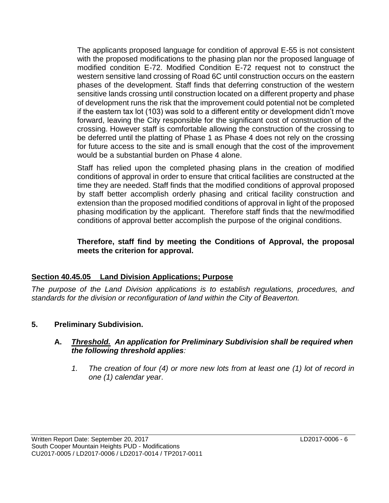The applicants proposed language for condition of approval E-55 is not consistent with the proposed modifications to the phasing plan nor the proposed language of modified condition E-72. Modified Condition E-72 request not to construct the western sensitive land crossing of Road 6C until construction occurs on the eastern phases of the development. Staff finds that deferring construction of the western sensitive lands crossing until construction located on a different property and phase of development runs the risk that the improvement could potential not be completed if the eastern tax lot (103) was sold to a different entity or development didn't move forward, leaving the City responsible for the significant cost of construction of the crossing. However staff is comfortable allowing the construction of the crossing to be deferred until the platting of Phase 1 as Phase 4 does not rely on the crossing for future access to the site and is small enough that the cost of the improvement would be a substantial burden on Phase 4 alone.

Staff has relied upon the completed phasing plans in the creation of modified conditions of approval in order to ensure that critical facilities are constructed at the time they are needed. Staff finds that the modified conditions of approval proposed by staff better accomplish orderly phasing and critical facility construction and extension than the proposed modified conditions of approval in light of the proposed phasing modification by the applicant. Therefore staff finds that the new/modified conditions of approval better accomplish the purpose of the original conditions.

#### **Therefore, staff find by meeting the Conditions of Approval, the proposal meets the criterion for approval.**

## **Section 40.45.05 Land Division Applications; Purpose**

*The purpose of the Land Division applications is to establish regulations, procedures, and standards for the division or reconfiguration of land within the City of Beaverton.* 

## **5. Preliminary Subdivision.**

#### **A.** *Threshold. An application for Preliminary Subdivision shall be required when the following threshold applies:*

*1. The creation of four (4) or more new lots from at least one (1) lot of record in one (1) calendar year*.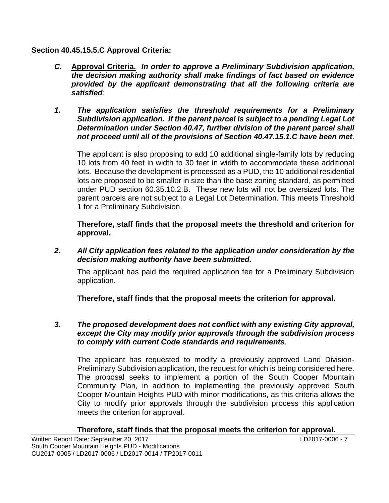#### **Section 40.45.15.5.C Approval Criteria:**

- *C.* **Approval Criteria.** *In order to approve a Preliminary Subdivision application, the decision making authority shall make findings of fact based on evidence provided by the applicant demonstrating that all the following criteria are satisfied:*
- *1. The application satisfies the threshold requirements for a Preliminary Subdivision application. If the parent parcel is subject to a pending Legal Lot Determination under Section 40.47, further division of the parent parcel shall not proceed until all of the provisions of Section 40.47.15.1.C have been met.*

The applicant is also proposing to add 10 additional single-family lots by reducing 10 lots from 40 feet in width to 30 feet in width to accommodate these additional lots. Because the development is processed as a PUD, the 10 additional residential lots are proposed to be smaller in size than the base zoning standard, as permitted under PUD section 60.35.10.2.B. These new lots will not be oversized lots. The parent parcels are not subject to a Legal Lot Determination. This meets Threshold 1 for a Preliminary Subdivision.

**Therefore, staff finds that the proposal meets the threshold and criterion for approval.**

*2. All City application fees related to the application under consideration by the decision making authority have been submitted.*

The applicant has paid the required application fee for a Preliminary Subdivision application.

**Therefore, staff finds that the proposal meets the criterion for approval.**

#### *3. The proposed development does not conflict with any existing City approval, except the City may modify prior approvals through the subdivision process to comply with current Code standards and requirements.*

The applicant has requested to modify a previously approved Land Division-Preliminary Subdivision application, the request for which is being considered here. The proposal seeks to implement a portion of the South Cooper Mountain Community Plan, in addition to implementing the previously approved South Cooper Mountain Heights PUD with minor modifications, as this criteria allows the City to modify prior approvals through the subdivision process this application meets the criterion for approval.

## **Therefore, staff finds that the proposal meets the criterion for approval.**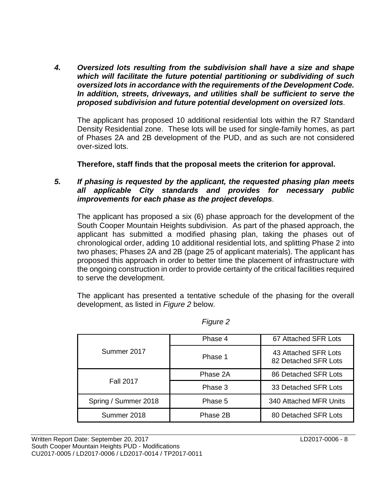*4. Oversized lots resulting from the subdivision shall have a size and shape which will facilitate the future potential partitioning or subdividing of such oversized lots in accordance with the requirements of the Development Code. In addition, streets, driveways, and utilities shall be sufficient to serve the proposed subdivision and future potential development on oversized lots.*

The applicant has proposed 10 additional residential lots within the R7 Standard Density Residential zone. These lots will be used for single-family homes, as part of Phases 2A and 2B development of the PUD, and as such are not considered over-sized lots.

**Therefore, staff finds that the proposal meets the criterion for approval.** 

#### *5. If phasing is requested by the applicant, the requested phasing plan meets all applicable City standards and provides for necessary public improvements for each phase as the project develops.*

The applicant has proposed a six (6) phase approach for the development of the South Cooper Mountain Heights subdivision. As part of the phased approach, the applicant has submitted a modified phasing plan, taking the phases out of chronological order, adding 10 additional residential lots, and splitting Phase 2 into two phases; Phases 2A and 2B (page 25 of applicant materials). The applicant has proposed this approach in order to better time the placement of infrastructure with the ongoing construction in order to provide certainty of the critical facilities required to serve the development.

The applicant has presented a tentative schedule of the phasing for the overall development, as listed in *Figure 2* below.

| Summer 2017          | 67 Attached SFR Lots<br>Phase 4 |                                              |  |
|----------------------|---------------------------------|----------------------------------------------|--|
|                      | Phase 1                         | 43 Attached SFR Lots<br>82 Detached SFR Lots |  |
| <b>Fall 2017</b>     | Phase 2A                        | 86 Detached SFR Lots                         |  |
|                      | Phase 3                         | 33 Detached SFR Lots                         |  |
| Spring / Summer 2018 | Phase 5                         | 340 Attached MFR Units                       |  |
| Summer 2018          | Phase 2B                        | 80 Detached SFR Lots                         |  |

*Figure 2*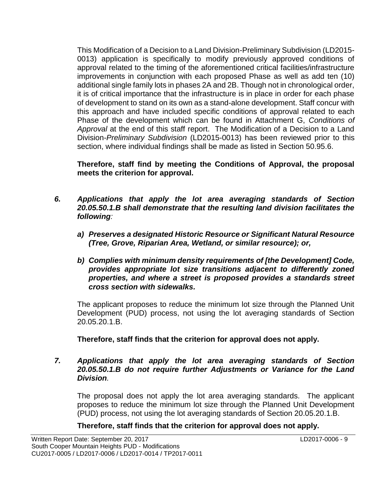This Modification of a Decision to a Land Division-Preliminary Subdivision (LD2015- 0013) application is specifically to modify previously approved conditions of approval related to the timing of the aforementioned critical facilities/infrastructure improvements in conjunction with each proposed Phase as well as add ten (10) additional single family lots in phases 2A and 2B. Though not in chronological order, it is of critical importance that the infrastructure is in place in order for each phase of development to stand on its own as a stand-alone development. Staff concur with this approach and have included specific conditions of approval related to each Phase of the development which can be found in Attachment G, *Conditions of Approval* at the end of this staff report. The Modification of a Decision to a Land Division-*Preliminary Subdivision* (LD2015-0013) has been reviewed prior to this section, where individual findings shall be made as listed in Section 50.95.6.

**Therefore, staff find by meeting the Conditions of Approval, the proposal meets the criterion for approval.**

- *6. Applications that apply the lot area averaging standards of Section 20.05.50.1.B shall demonstrate that the resulting land division facilitates the following:*
	- *a) Preserves a designated Historic Resource or Significant Natural Resource (Tree, Grove, Riparian Area, Wetland, or similar resource); or,*
	- *b) Complies with minimum density requirements of [the Development] Code, provides appropriate lot size transitions adjacent to differently zoned properties, and where a street is proposed provides a standards street cross section with sidewalks.*

The applicant proposes to reduce the minimum lot size through the Planned Unit Development (PUD) process, not using the lot averaging standards of Section 20.05.20.1.B.

**Therefore, staff finds that the criterion for approval does not apply.**

#### *7. Applications that apply the lot area averaging standards of Section 20.05.50.1.B do not require further Adjustments or Variance for the Land Division.*

The proposal does not apply the lot area averaging standards. The applicant proposes to reduce the minimum lot size through the Planned Unit Development (PUD) process, not using the lot averaging standards of Section 20.05.20.1.B.

**Therefore, staff finds that the criterion for approval does not apply.**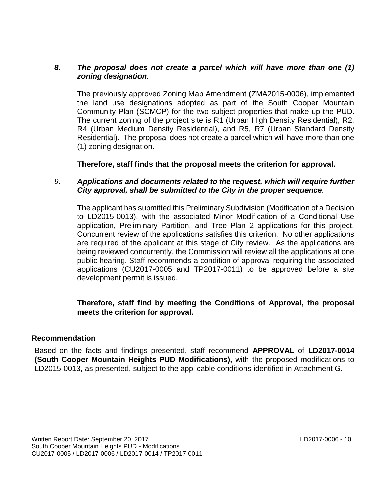#### *8. The proposal does not create a parcel which will have more than one (1) zoning designation.*

The previously approved Zoning Map Amendment (ZMA2015-0006), implemented the land use designations adopted as part of the South Cooper Mountain Community Plan (SCMCP) for the two subject properties that make up the PUD. The current zoning of the project site is R1 (Urban High Density Residential), R2, R4 (Urban Medium Density Residential), and R5, R7 (Urban Standard Density Residential). The proposal does not create a parcel which will have more than one (1) zoning designation.

**Therefore, staff finds that the proposal meets the criterion for approval.**

#### *9. Applications and documents related to the request, which will require further City approval, shall be submitted to the City in the proper sequence.*

The applicant has submitted this Preliminary Subdivision (Modification of a Decision to LD2015-0013), with the associated Minor Modification of a Conditional Use application, Preliminary Partition, and Tree Plan 2 applications for this project. Concurrent review of the applications satisfies this criterion. No other applications are required of the applicant at this stage of City review. As the applications are being reviewed concurrently, the Commission will review all the applications at one public hearing. Staff recommends a condition of approval requiring the associated applications (CU2017-0005 and TP2017-0011) to be approved before a site development permit is issued.

#### **Therefore, staff find by meeting the Conditions of Approval, the proposal meets the criterion for approval.**

#### **Recommendation**

Based on the facts and findings presented, staff recommend **APPROVAL** of **LD2017-0014 (South Cooper Mountain Heights PUD Modifications),** with the proposed modifications to LD2015-0013, as presented, subject to the applicable conditions identified in Attachment G.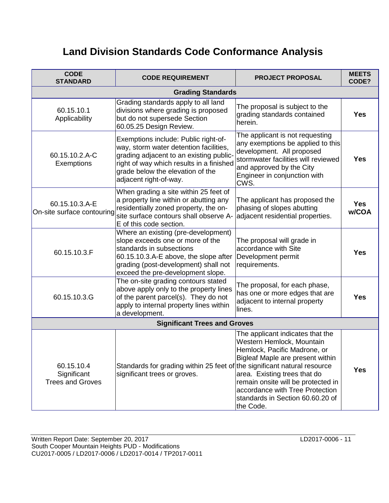# **Land Division Standards Code Conformance Analysis**

| <b>CODE</b><br><b>STANDARD</b>                       | <b>CODE REQUIREMENT</b>                                                                                                                                                                                                             | <b>PROJECT PROPOSAL</b>                                                                                                                                                                                                                                                                     | <b>MEETS</b><br>CODE? |
|------------------------------------------------------|-------------------------------------------------------------------------------------------------------------------------------------------------------------------------------------------------------------------------------------|---------------------------------------------------------------------------------------------------------------------------------------------------------------------------------------------------------------------------------------------------------------------------------------------|-----------------------|
| <b>Grading Standards</b>                             |                                                                                                                                                                                                                                     |                                                                                                                                                                                                                                                                                             |                       |
| 60.15.10.1<br>Applicability                          | Grading standards apply to all land<br>divisions where grading is proposed<br>but do not supersede Section<br>60.05.25 Design Review.                                                                                               | The proposal is subject to the<br>grading standards contained<br>herein.                                                                                                                                                                                                                    | <b>Yes</b>            |
| 60.15.10.2.A-C<br>Exemptions                         | Exemptions include: Public right-of-<br>way, storm water detention facilities,<br>grading adjacent to an existing public-<br>right of way which results in a finished<br>grade below the elevation of the<br>adjacent right-of-way. | The applicant is not requesting<br>any exemptions be applied to this<br>development. All proposed<br>stormwater facilities will reviewed<br>and approved by the City<br>Engineer in conjunction with<br>CWS.                                                                                | <b>Yes</b>            |
| 60.15.10.3.A-E<br>On-site surface contouring         | When grading a site within 25 feet of<br>a property line within or abutting any<br>residentially zoned property, the on-<br>site surface contours shall observe A-<br>E of this code section.                                       | The applicant has proposed the<br>phasing of slopes abutting<br>adjacent residential properties.                                                                                                                                                                                            | <b>Yes</b><br>w/COA   |
| 60.15.10.3.F                                         | Where an existing (pre-development)<br>slope exceeds one or more of the<br>standards in subsections<br>60.15.10.3.A-E above, the slope after<br>grading (post-development) shall not<br>exceed the pre-development slope.           | The proposal will grade in<br>accordance with Site<br>Development permit<br>requirements.                                                                                                                                                                                                   | <b>Yes</b>            |
| 60.15.10.3.G                                         | The on-site grading contours stated<br>above apply only to the property lines<br>of the parent parcel(s). They do not<br>apply to internal property lines within<br>a development.                                                  | The proposal, for each phase,<br>has one or more edges that are<br>adjacent to internal property<br>lines.                                                                                                                                                                                  | <b>Yes</b>            |
| <b>Significant Trees and Groves</b>                  |                                                                                                                                                                                                                                     |                                                                                                                                                                                                                                                                                             |                       |
| 60.15.10.4<br>Significant<br><b>Trees and Groves</b> | Standards for grading within 25 feet of the significant natural resource<br>significant trees or groves.                                                                                                                            | The applicant indicates that the<br>Western Hemlock, Mountain<br>Hemlock, Pacific Madrone, or<br>Bigleaf Maple are present within<br>area. Existing trees that do<br>remain onsite will be protected in<br>accordance with Tree Protection<br>standards in Section 60.60.20 of<br>the Code. | <b>Yes</b>            |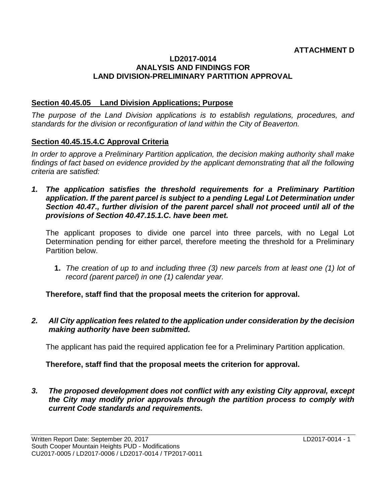## **ATTACHMENT D**

#### **LD2017-0014 ANALYSIS AND FINDINGS FOR LAND DIVISION-PRELIMINARY PARTITION APPROVAL**

#### **Section 40.45.05 Land Division Applications; Purpose**

*The purpose of the Land Division applications is to establish regulations, procedures, and standards for the division or reconfiguration of land within the City of Beaverton.* 

#### **Section 40.45.15.4.C Approval Criteria**

*In order to approve a Preliminary Partition application, the decision making authority shall make findings of fact based on evidence provided by the applicant demonstrating that all the following criteria are satisfied:*

1. The application satisfies the threshold requirements for a Preliminary Partition *application. If the parent parcel is subject to a pending Legal Lot Determination under Section 40.47., further division of the parent parcel shall not proceed until all of the provisions of Section 40.47.15.1.C. have been met.*

The applicant proposes to divide one parcel into three parcels, with no Legal Lot Determination pending for either parcel, therefore meeting the threshold for a Preliminary Partition below.

**1.** *The creation of up to and including three (3) new parcels from at least one (1) lot of record (parent parcel) in one (1) calendar year.*

**Therefore, staff find that the proposal meets the criterion for approval.**

*2. All City application fees related to the application under consideration by the decision making authority have been submitted.*

The applicant has paid the required application fee for a Preliminary Partition application.

**Therefore, staff find that the proposal meets the criterion for approval.**

*3. The proposed development does not conflict with any existing City approval, except the City may modify prior approvals through the partition process to comply with current Code standards and requirements.*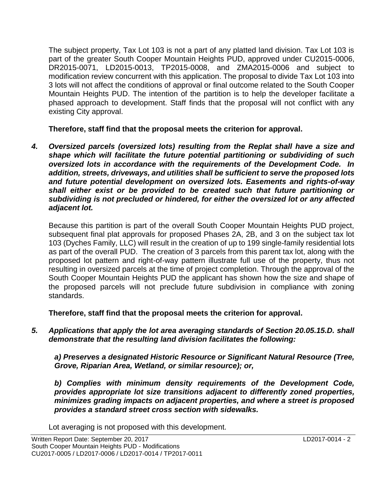The subject property, Tax Lot 103 is not a part of any platted land division. Tax Lot 103 is part of the greater South Cooper Mountain Heights PUD, approved under CU2015-0006, DR2015-0071, LD2015-0013, TP2015-0008, and ZMA2015-0006 and subject to modification review concurrent with this application. The proposal to divide Tax Lot 103 into 3 lots will not affect the conditions of approval or final outcome related to the South Cooper Mountain Heights PUD. The intention of the partition is to help the developer facilitate a phased approach to development. Staff finds that the proposal will not conflict with any existing City approval.

**Therefore, staff find that the proposal meets the criterion for approval.**

*4. Oversized parcels (oversized lots) resulting from the Replat shall have a size and shape which will facilitate the future potential partitioning or subdividing of such oversized lots in accordance with the requirements of the Development Code. In addition, streets, driveways, and utilities shall be sufficient to serve the proposed lots and future potential development on oversized lots. Easements and rights-of-way shall either exist or be provided to be created such that future partitioning or subdividing is not precluded or hindered, for either the oversized lot or any affected adjacent lot.*

Because this partition is part of the overall South Cooper Mountain Heights PUD project, subsequent final plat approvals for proposed Phases 2A, 2B, and 3 on the subject tax lot 103 (Dyches Family, LLC) will result in the creation of up to 199 single-family residential lots as part of the overall PUD. The creation of 3 parcels from this parent tax lot, along with the proposed lot pattern and right-of-way pattern illustrate full use of the property, thus not resulting in oversized parcels at the time of project completion. Through the approval of the South Cooper Mountain Heights PUD the applicant has shown how the size and shape of the proposed parcels will not preclude future subdivision in compliance with zoning standards.

**Therefore, staff find that the proposal meets the criterion for approval.**

*5. Applications that apply the lot area averaging standards of Section 20.05.15.D. shall demonstrate that the resulting land division facilitates the following:* 

*a) Preserves a designated Historic Resource or Significant Natural Resource (Tree, Grove, Riparian Area, Wetland, or similar resource); or,* 

*b) Complies with minimum density requirements of the Development Code, provides appropriate lot size transitions adjacent to differently zoned properties, minimizes grading impacts on adjacent properties, and where a street is proposed provides a standard street cross section with sidewalks.*

Lot averaging is not proposed with this development.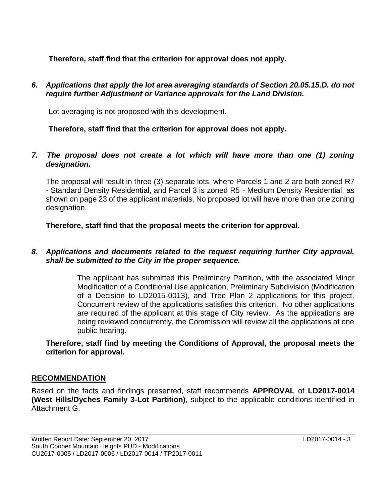**Therefore, staff find that the criterion for approval does not apply.**

*6. Applications that apply the lot area averaging standards of Section 20.05.15.D. do not require further Adjustment or Variance approvals for the Land Division.*

Lot averaging is not proposed with this development.

**Therefore, staff find that the criterion for approval does not apply.**

#### *7. The proposal does not create a lot which will have more than one (1) zoning designation.*

The proposal will result in three (3) separate lots, where Parcels 1 and 2 are both zoned R7 - Standard Density Residential, and Parcel 3 is zoned R5 - Medium Density Residential, as shown on page 23 of the applicant materials. No proposed lot will have more than one zoning designation.

## **Therefore, staff find that the proposal meets the criterion for approval.**

## *8. Applications and documents related to the request requiring further City approval, shall be submitted to the City in the proper sequence.*

The applicant has submitted this Preliminary Partition, with the associated Minor Modification of a Conditional Use application, Preliminary Subdivision (Modification of a Decision to LD2015-0013), and Tree Plan 2 applications for this project. Concurrent review of the applications satisfies this criterion. No other applications are required of the applicant at this stage of City review. As the applications are being reviewed concurrently, the Commission will review all the applications at one public hearing.

#### **Therefore, staff find by meeting the Conditions of Approval, the proposal meets the criterion for approval.**

## **RECOMMENDATION**

Based on the facts and findings presented, staff recommends **APPROVAL** of **LD2017-0014 (West Hills/Dyches Family 3-Lot Partition)**, subject to the applicable conditions identified in Attachment G.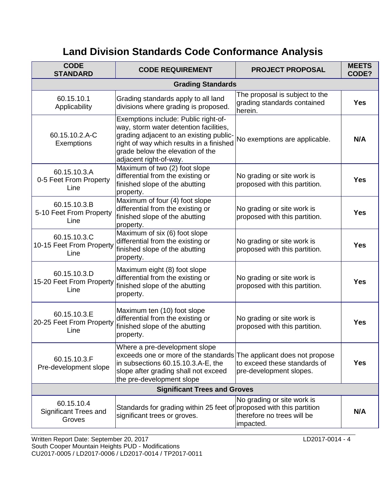# **Land Division Standards Code Conformance Analysis**

| <b>CODE</b><br><b>STANDARD</b>                   | <b>CODE REQUIREMENT</b>                                                                                                                                                                                                             | <b>PROJECT PROPOSAL</b>                                                                   | <b>MEETS</b><br>CODE? |
|--------------------------------------------------|-------------------------------------------------------------------------------------------------------------------------------------------------------------------------------------------------------------------------------------|-------------------------------------------------------------------------------------------|-----------------------|
|                                                  | <b>Grading Standards</b>                                                                                                                                                                                                            |                                                                                           |                       |
| 60.15.10.1<br>Applicability                      | Grading standards apply to all land<br>divisions where grading is proposed.                                                                                                                                                         | The proposal is subject to the<br>grading standards contained<br>herein.                  | <b>Yes</b>            |
| 60.15.10.2.A-C<br>Exemptions                     | Exemptions include: Public right-of-<br>way, storm water detention facilities,<br>grading adjacent to an existing public-<br>right of way which results in a finished<br>grade below the elevation of the<br>adjacent right-of-way. | No exemptions are applicable.                                                             | N/A                   |
| 60.15.10.3.A<br>0-5 Feet From Property<br>Line   | Maximum of two (2) foot slope<br>differential from the existing or<br>finished slope of the abutting<br>property.                                                                                                                   | No grading or site work is<br>proposed with this partition.                               | <b>Yes</b>            |
| 60.15.10.3.B<br>5-10 Feet From Property<br>Line  | Maximum of four (4) foot slope<br>differential from the existing or<br>finished slope of the abutting<br>property.                                                                                                                  | No grading or site work is<br>proposed with this partition.                               | <b>Yes</b>            |
| 60.15.10.3.C<br>10-15 Feet From Property<br>Line | Maximum of six (6) foot slope<br>differential from the existing or<br>finished slope of the abutting<br>property.                                                                                                                   | No grading or site work is<br>proposed with this partition.                               | <b>Yes</b>            |
| 60.15.10.3.D<br>15-20 Feet From Property<br>Line | Maximum eight (8) foot slope<br>differential from the existing or<br>finished slope of the abutting<br>property.                                                                                                                    | No grading or site work is<br>proposed with this partition.                               | <b>Yes</b>            |
| 60.15.10.3.E<br>20-25 Feet From Property<br>Line | Maximum ten (10) foot slope<br>differential from the existing or<br>finished slope of the abutting<br>property.                                                                                                                     | No grading or site work is<br>proposed with this partition.                               | <b>Yes</b>            |
| 60.15.10.3.F<br>Pre-development slope            | Where a pre-development slope<br>exceeds one or more of the standards<br>in subsections 60.15.10.3.A-E, the<br>slope after grading shall not exceed<br>the pre-development slope                                                    | The applicant does not propose<br>to exceed these standards of<br>pre-development slopes. | <b>Yes</b>            |
| <b>Significant Trees and Groves</b>              |                                                                                                                                                                                                                                     |                                                                                           |                       |
| 60.15.10.4<br>Significant Trees and<br>Groves    | Standards for grading within 25 feet of proposed with this partition<br>significant trees or groves.                                                                                                                                | No grading or site work is<br>therefore no trees will be<br>impacted.                     | N/A                   |

Written Report Date: September 20, 2017 LD2017-0014 - 4 South Cooper Mountain Heights PUD - Modifications CU2017-0005 / LD2017-0006 / LD2017-0014 / TP2017-0011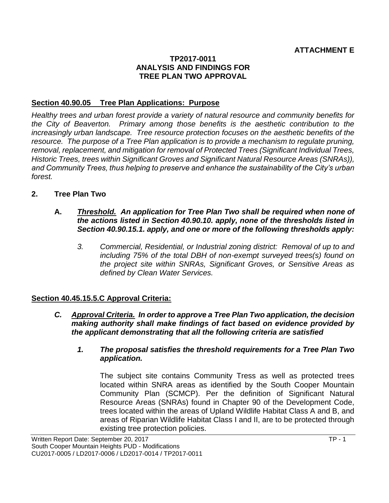#### **TP2017-0011 ANALYSIS AND FINDINGS FOR TREE PLAN TWO APPROVAL**

#### **Section 40.90.05 Tree Plan Applications: Purpose**

*Healthy trees and urban forest provide a variety of natural resource and community benefits for the City of Beaverton. Primary among those benefits is the aesthetic contribution to the increasingly urban landscape. Tree resource protection focuses on the aesthetic benefits of the resource. The purpose of a Tree Plan application is to provide a mechanism to regulate pruning, removal, replacement, and mitigation for removal of Protected Trees (Significant Individual Trees, Historic Trees, trees within Significant Groves and Significant Natural Resource Areas (SNRAs)), and Community Trees, thus helping to preserve and enhance the sustainability of the City's urban forest.* 

- **2. Tree Plan Two**
	- **A.** *Threshold. An application for Tree Plan Two shall be required when none of the actions listed in Section 40.90.10. apply, none of the thresholds listed in Section 40.90.15.1. apply, and one or more of the following thresholds apply:*
		- *3. Commercial, Residential, or Industrial zoning district: Removal of up to and including 75% of the total DBH of non-exempt surveyed trees(s) found on the project site within SNRAs, Significant Groves, or Sensitive Areas as defined by Clean Water Services.*

## **Section 40.45.15.5.C Approval Criteria:**

- *C. Approval Criteria. In order to approve a Tree Plan Two application, the decision making authority shall make findings of fact based on evidence provided by the applicant demonstrating that all the following criteria are satisfied*
	- *1. The proposal satisfies the threshold requirements for a Tree Plan Two application.*

The subject site contains Community Tress as well as protected trees located within SNRA areas as identified by the South Cooper Mountain Community Plan (SCMCP). Per the definition of Significant Natural Resource Areas (SNRAs) found in Chapter 90 of the Development Code, trees located within the areas of Upland Wildlife Habitat Class A and B, and areas of Riparian Wildlife Habitat Class I and II, are to be protected through existing tree protection policies.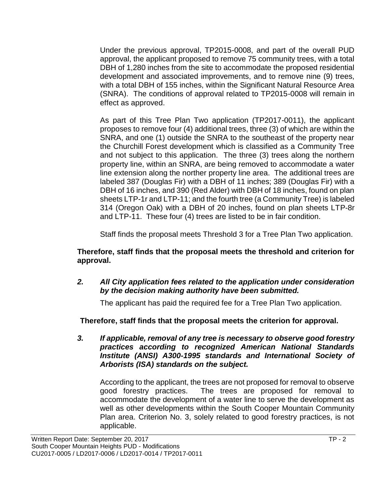Under the previous approval, TP2015-0008, and part of the overall PUD approval, the applicant proposed to remove 75 community trees, with a total DBH of 1,280 inches from the site to accommodate the proposed residential development and associated improvements, and to remove nine (9) trees, with a total DBH of 155 inches, within the Significant Natural Resource Area (SNRA). The conditions of approval related to TP2015-0008 will remain in effect as approved.

As part of this Tree Plan Two application (TP2017-0011), the applicant proposes to remove four (4) additional trees, three (3) of which are within the SNRA, and one (1) outside the SNRA to the southeast of the property near the Churchill Forest development which is classified as a Community Tree and not subject to this application. The three (3) trees along the northern property line, within an SNRA, are being removed to accommodate a water line extension along the norther property line area. The additional trees are labeled 387 (Douglas Fir) with a DBH of 11 inches; 389 (Douglas Fir) with a DBH of 16 inches, and 390 (Red Alder) with DBH of 18 inches, found on plan sheets LTP-1r and LTP-11; and the fourth tree (a Community Tree) is labeled 314 (Oregon Oak) with a DBH of 20 inches, found on plan sheets LTP-8r and LTP-11. These four (4) trees are listed to be in fair condition.

Staff finds the proposal meets Threshold 3 for a Tree Plan Two application.

## **Therefore, staff finds that the proposal meets the threshold and criterion for approval.**

*2. All City application fees related to the application under consideration by the decision making authority have been submitted.*

The applicant has paid the required fee for a Tree Plan Two application.

**Therefore, staff finds that the proposal meets the criterion for approval.**

*3. If applicable, removal of any tree is necessary to observe good forestry practices according to recognized American National Standards Institute (ANSI) A300-1995 standards and International Society of Arborists (ISA) standards on the subject.*

According to the applicant, the trees are not proposed for removal to observe good forestry practices. The trees are proposed for removal to accommodate the development of a water line to serve the development as well as other developments within the South Cooper Mountain Community Plan area. Criterion No. 3, solely related to good forestry practices, is not applicable.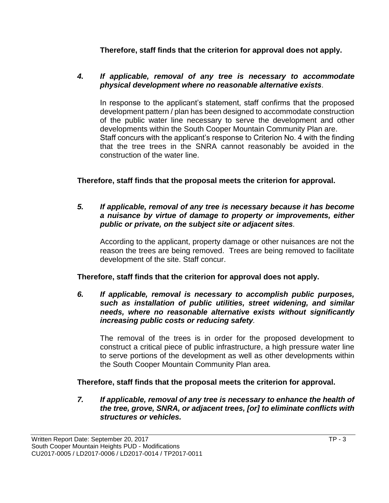**Therefore, staff finds that the criterion for approval does not apply.**

#### *4. If applicable, removal of any tree is necessary to accommodate physical development where no reasonable alternative exists.*

In response to the applicant's statement, staff confirms that the proposed development pattern / plan has been designed to accommodate construction of the public water line necessary to serve the development and other developments within the South Cooper Mountain Community Plan are. Staff concurs with the applicant's response to Criterion No. 4 with the finding that the tree trees in the SNRA cannot reasonably be avoided in the construction of the water line.

**Therefore, staff finds that the proposal meets the criterion for approval.**

#### *5. If applicable, removal of any tree is necessary because it has become a nuisance by virtue of damage to property or improvements, either public or private, on the subject site or adjacent sites.*

According to the applicant, property damage or other nuisances are not the reason the trees are being removed. Trees are being removed to facilitate development of the site. Staff concur.

## **Therefore, staff finds that the criterion for approval does not apply.**

*6. If applicable, removal is necessary to accomplish public purposes, such as installation of public utilities, street widening, and similar needs, where no reasonable alternative exists without significantly increasing public costs or reducing safety.*

The removal of the trees is in order for the proposed development to construct a critical piece of public infrastructure, a high pressure water line to serve portions of the development as well as other developments within the South Cooper Mountain Community Plan area.

## **Therefore, staff finds that the proposal meets the criterion for approval.**

*7. If applicable, removal of any tree is necessary to enhance the health of the tree, grove, SNRA, or adjacent trees, [or] to eliminate conflicts with structures or vehicles.*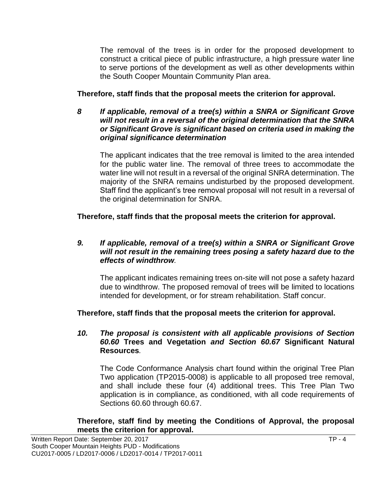The removal of the trees is in order for the proposed development to construct a critical piece of public infrastructure, a high pressure water line to serve portions of the development as well as other developments within the South Cooper Mountain Community Plan area.

**Therefore, staff finds that the proposal meets the criterion for approval.**

*8 If applicable, removal of a tree(s) within a SNRA or Significant Grove will not result in a reversal of the original determination that the SNRA or Significant Grove is significant based on criteria used in making the original significance determination*

The applicant indicates that the tree removal is limited to the area intended for the public water line. The removal of three trees to accommodate the water line will not result in a reversal of the original SNRA determination. The majority of the SNRA remains undisturbed by the proposed development. Staff find the applicant's tree removal proposal will not result in a reversal of the original determination for SNRA.

**Therefore, staff finds that the proposal meets the criterion for approval.**

#### *9. If applicable, removal of a tree(s) within a SNRA or Significant Grove will not result in the remaining trees posing a safety hazard due to the effects of windthrow.*

The applicant indicates remaining trees on-site will not pose a safety hazard due to windthrow. The proposed removal of trees will be limited to locations intended for development, or for stream rehabilitation. Staff concur.

**Therefore, staff finds that the proposal meets the criterion for approval.**

#### *10. The proposal is consistent with all applicable provisions of Section 60.60* **Trees and Vegetation** *and Section 60.67* **Significant Natural Resources***.*

The Code Conformance Analysis chart found within the original Tree Plan Two application (TP2015-0008) is applicable to all proposed tree removal, and shall include these four (4) additional trees. This Tree Plan Two application is in compliance, as conditioned, with all code requirements of Sections 60.60 through 60.67.

#### **Therefore, staff find by meeting the Conditions of Approval, the proposal meets the criterion for approval.**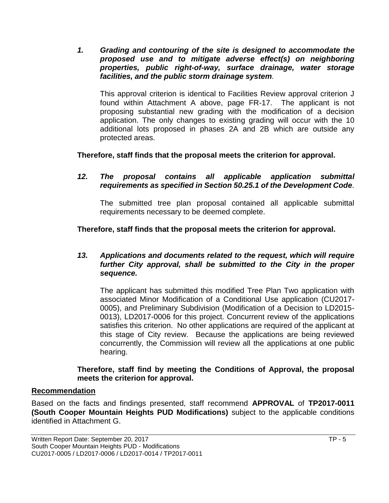*1. Grading and contouring of the site is designed to accommodate the proposed use and to mitigate adverse effect(s) on neighboring properties, public right-of-way, surface drainage, water storage facilities, and the public storm drainage system.*

This approval criterion is identical to Facilities Review approval criterion J found within Attachment A above, page FR-17. The applicant is not proposing substantial new grading with the modification of a decision application. The only changes to existing grading will occur with the 10 additional lots proposed in phases 2A and 2B which are outside any protected areas.

**Therefore, staff finds that the proposal meets the criterion for approval.**

*12. The proposal contains all applicable application submittal requirements as specified in Section 50.25.1 of the Development Code.*

The submitted tree plan proposal contained all applicable submittal requirements necessary to be deemed complete.

## **Therefore, staff finds that the proposal meets the criterion for approval.**

#### *13. Applications and documents related to the request, which will require further City approval, shall be submitted to the City in the proper sequence.*

The applicant has submitted this modified Tree Plan Two application with associated Minor Modification of a Conditional Use application (CU2017- 0005), and Preliminary Subdivision (Modification of a Decision to LD2015- 0013), LD2017-0006 for this project. Concurrent review of the applications satisfies this criterion. No other applications are required of the applicant at this stage of City review. Because the applications are being reviewed concurrently, the Commission will review all the applications at one public hearing.

**Therefore, staff find by meeting the Conditions of Approval, the proposal meets the criterion for approval.**

## **Recommendation**

Based on the facts and findings presented, staff recommend **APPROVAL** of **TP2017-0011 (South Cooper Mountain Heights PUD Modifications)** subject to the applicable conditions identified in Attachment G.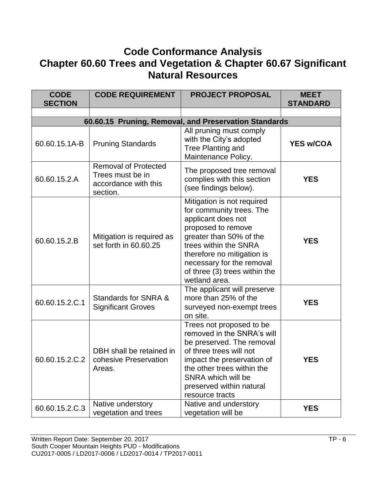## **Code Conformance Analysis Chapter 60.60 Trees and Vegetation & Chapter 60.67 Significant Natural Resources**

| <b>CODE</b><br><b>SECTION</b> | <b>CODE REQUIREMENT</b>                                                             | <b>PROJECT PROPOSAL</b>                                                                                                                                                                                                                                             | <b>MEET</b><br><b>STANDARD</b> |
|-------------------------------|-------------------------------------------------------------------------------------|---------------------------------------------------------------------------------------------------------------------------------------------------------------------------------------------------------------------------------------------------------------------|--------------------------------|
|                               |                                                                                     |                                                                                                                                                                                                                                                                     |                                |
|                               |                                                                                     | 60.60.15 Pruning, Removal, and Preservation Standards                                                                                                                                                                                                               |                                |
| 60.60.15.1A-B                 | <b>Pruning Standards</b>                                                            | All pruning must comply<br>with the City's adopted<br>Tree Planting and<br>Maintenance Policy.                                                                                                                                                                      | <b>YES w/COA</b>               |
| 60.60.15.2.A                  | <b>Removal of Protected</b><br>Trees must be in<br>accordance with this<br>section. | The proposed tree removal<br>complies with this section<br>(see findings below).                                                                                                                                                                                    | <b>YES</b>                     |
| 60.60.15.2.B                  | Mitigation is required as<br>set forth in 60.60.25                                  | Mitigation is not required<br>for community trees. The<br>applicant does not<br>proposed to remove<br>greater than 50% of the<br>trees within the SNRA<br>therefore no mitigation is<br>necessary for the removal<br>of three (3) trees within the<br>wetland area. | <b>YES</b>                     |
| 60.60.15.2.C.1                | Standards for SNRA &<br><b>Significant Groves</b>                                   | The applicant will preserve<br>more than 25% of the<br>surveyed non-exempt trees<br>on site.                                                                                                                                                                        | <b>YES</b>                     |
| 60.60.15.2.C.2                | DBH shall be retained in<br>cohesive Preservation<br>Areas.                         | Trees not proposed to be<br>removed in the SNRA's will<br>be preserved. The removal<br>of three trees will not<br>impact the preservation of<br>the other trees within the<br>SNRA which will be<br>preserved within natural<br>resource tracts                     | <b>YES</b>                     |
| 60.60.15.2.C.3                | Native understory<br>vegetation and trees                                           | Native and understory<br>vegetation will be                                                                                                                                                                                                                         | <b>YES</b>                     |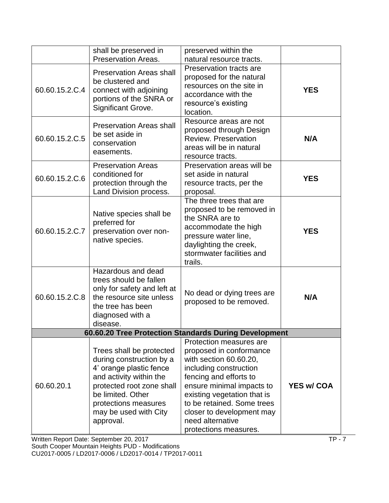|                                                       | shall be preserved in<br><b>Preservation Areas.</b>                                                                                                                                                                        | preserved within the<br>natural resource tracts.                                                                                                                                                                                                                                                     |                   |
|-------------------------------------------------------|----------------------------------------------------------------------------------------------------------------------------------------------------------------------------------------------------------------------------|------------------------------------------------------------------------------------------------------------------------------------------------------------------------------------------------------------------------------------------------------------------------------------------------------|-------------------|
| 60.60.15.2.C.4                                        | <b>Preservation Areas shall</b><br>be clustered and<br>connect with adjoining<br>portions of the SNRA or<br>Significant Grove.                                                                                             | Preservation tracts are<br>proposed for the natural<br>resources on the site in<br>accordance with the<br>resource's existing<br>location.                                                                                                                                                           | <b>YES</b>        |
| 60.60.15.2.C.5                                        | <b>Preservation Areas shall</b><br>be set aside in<br>conservation<br>easements.                                                                                                                                           | Resource areas are not<br>proposed through Design<br>Review. Preservation<br>areas will be in natural<br>resource tracts.                                                                                                                                                                            | N/A               |
| 60.60.15.2.C.6                                        | <b>Preservation Areas</b><br>conditioned for<br>protection through the<br>Land Division process.                                                                                                                           | Preservation areas will be<br>set aside in natural<br>resource tracts, per the<br>proposal.                                                                                                                                                                                                          | <b>YES</b>        |
| 60.60.15.2.C.7                                        | Native species shall be<br>preferred for<br>preservation over non-<br>native species.                                                                                                                                      | The three trees that are<br>proposed to be removed in<br>the SNRA are to<br>accommodate the high<br>pressure water line,<br>daylighting the creek,<br>stormwater facilities and<br>trails.                                                                                                           | <b>YES</b>        |
| 60.60.15.2.C.8                                        | Hazardous and dead<br>trees should be fallen<br>only for safety and left at<br>the resource site unless<br>the tree has been<br>diagnosed with a<br>disease.                                                               | No dead or dying trees are<br>proposed to be removed.                                                                                                                                                                                                                                                | N/A               |
| 60.60.20 Tree Protection Standards During Development |                                                                                                                                                                                                                            |                                                                                                                                                                                                                                                                                                      |                   |
| 60.60.20.1                                            | Trees shall be protected<br>during construction by a<br>4' orange plastic fence<br>and activity within the<br>protected root zone shall<br>be limited. Other<br>protections measures<br>may be used with City<br>approval. | Protection measures are<br>proposed in conformance<br>with section 60.60.20,<br>including construction<br>fencing and efforts to<br>ensure minimal impacts to<br>existing vegetation that is<br>to be retained. Some trees<br>closer to development may<br>need alternative<br>protections measures. | <b>YES w/ COA</b> |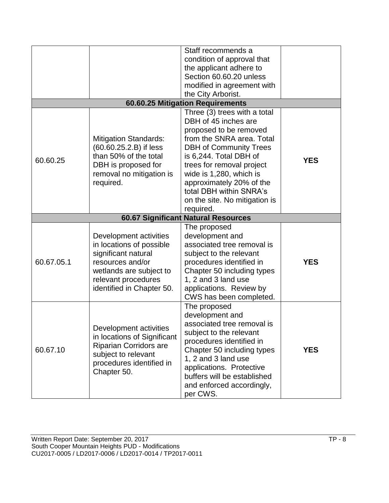|            |                                                                                                                                                                              | Staff recommends a<br>condition of approval that<br>the applicant adhere to<br>Section 60.60.20 unless<br>modified in agreement with<br>the City Arborist.                                                                                                                                                                          |            |
|------------|------------------------------------------------------------------------------------------------------------------------------------------------------------------------------|-------------------------------------------------------------------------------------------------------------------------------------------------------------------------------------------------------------------------------------------------------------------------------------------------------------------------------------|------------|
|            |                                                                                                                                                                              | 60.60.25 Mitigation Requirements                                                                                                                                                                                                                                                                                                    |            |
| 60.60.25   | <b>Mitigation Standards:</b><br>$(60.60.25.2.B)$ if less<br>than 50% of the total<br>DBH is proposed for<br>removal no mitigation is<br>required.                            | Three (3) trees with a total<br>DBH of 45 inches are<br>proposed to be removed<br>from the SNRA area. Total<br><b>DBH of Community Trees</b><br>is 6,244. Total DBH of<br>trees for removal project<br>wide is 1,280, which is<br>approximately 20% of the<br>total DBH within SNRA's<br>on the site. No mitigation is<br>required. | <b>YES</b> |
|            |                                                                                                                                                                              | <b>60.67 Significant Natural Resources</b>                                                                                                                                                                                                                                                                                          |            |
| 60.67.05.1 | Development activities<br>in locations of possible<br>significant natural<br>resources and/or<br>wetlands are subject to<br>relevant procedures<br>identified in Chapter 50. | The proposed<br>development and<br>associated tree removal is<br>subject to the relevant<br>procedures identified in<br>Chapter 50 including types<br>1, 2 and 3 land use<br>applications. Review by<br>CWS has been completed.                                                                                                     | <b>YES</b> |
| 60.67.10   | Development activities<br>in locations of Significant<br><b>Riparian Corridors are</b><br>subject to relevant<br>procedures identified in<br>Chapter 50.                     | The proposed<br>development and<br>associated tree removal is<br>subject to the relevant<br>procedures identified in<br>Chapter 50 including types<br>1, 2 and 3 land use<br>applications. Protective<br>buffers will be established<br>and enforced accordingly,<br>per CWS.                                                       | <b>YES</b> |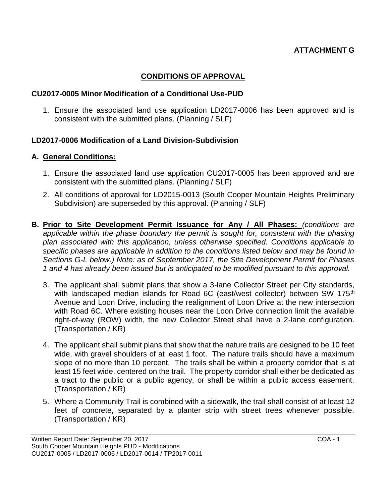## **ATTACHMENT G**

## **CONDITIONS OF APPROVAL**

#### **CU2017-0005 Minor Modification of a Conditional Use-PUD**

1. Ensure the associated land use application LD2017-0006 has been approved and is consistent with the submitted plans. (Planning / SLF)

#### **LD2017-0006 Modification of a Land Division-Subdivision**

#### **A. General Conditions:**

- 1. Ensure the associated land use application CU2017-0005 has been approved and are consistent with the submitted plans. (Planning / SLF)
- 2. All conditions of approval for LD2015-0013 (South Cooper Mountain Heights Preliminary Subdivision) are superseded by this approval. (Planning / SLF)
- **B. Prior to Site Development Permit Issuance for Any / All Phases:** *(conditions are*  applicable within the phase boundary the permit is sought for, consistent with the phasing *plan associated with this application, unless otherwise specified. Conditions applicable to specific phases are applicable in addition to the conditions listed below and may be found in Sections G-L below.) Note: as of September 2017, the Site Development Permit for Phases 1 and 4 has already been issued but is anticipated to be modified pursuant to this approval.* 
	- 3. The applicant shall submit plans that show a 3-lane Collector Street per City standards, with landscaped median islands for Road 6C (east/west collector) between SW 175<sup>th</sup> Avenue and Loon Drive, including the realignment of Loon Drive at the new intersection with Road 6C. Where existing houses near the Loon Drive connection limit the available right-of-way (ROW) width, the new Collector Street shall have a 2-lane configuration. (Transportation / KR)
	- 4. The applicant shall submit plans that show that the nature trails are designed to be 10 feet wide, with gravel shoulders of at least 1 foot. The nature trails should have a maximum slope of no more than 10 percent. The trails shall be within a property corridor that is at least 15 feet wide, centered on the trail. The property corridor shall either be dedicated as a tract to the public or a public agency, or shall be within a public access easement. (Transportation / KR)
	- 5. Where a Community Trail is combined with a sidewalk, the trail shall consist of at least 12 feet of concrete, separated by a planter strip with street trees whenever possible. (Transportation / KR)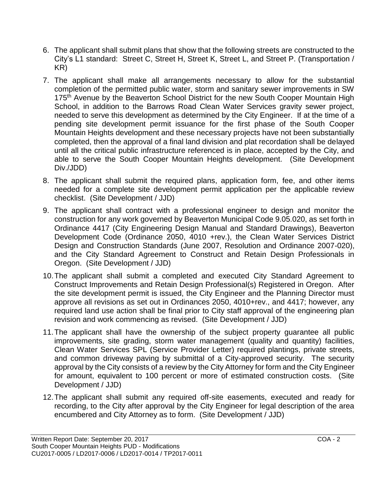- 6. The applicant shall submit plans that show that the following streets are constructed to the City's L1 standard: Street C, Street H, Street K, Street L, and Street P. (Transportation / KR)
- 7. The applicant shall make all arrangements necessary to allow for the substantial completion of the permitted public water, storm and sanitary sewer improvements in SW 175<sup>th</sup> Avenue by the Beaverton School District for the new South Cooper Mountain High School, in addition to the Barrows Road Clean Water Services gravity sewer project, needed to serve this development as determined by the City Engineer. If at the time of a pending site development permit issuance for the first phase of the South Cooper Mountain Heights development and these necessary projects have not been substantially completed, then the approval of a final land division and plat recordation shall be delayed until all the critical public infrastructure referenced is in place, accepted by the City, and able to serve the South Cooper Mountain Heights development. (Site Development Div./JDD)
- 8. The applicant shall submit the required plans, application form, fee, and other items needed for a complete site development permit application per the applicable review checklist. (Site Development / JJD)
- 9. The applicant shall contract with a professional engineer to design and monitor the construction for any work governed by Beaverton Municipal Code 9.05.020, as set forth in Ordinance 4417 (City Engineering Design Manual and Standard Drawings), Beaverton Development Code (Ordinance 2050, 4010 +rev.), the Clean Water Services District Design and Construction Standards (June 2007, Resolution and Ordinance 2007-020), and the City Standard Agreement to Construct and Retain Design Professionals in Oregon. (Site Development / JJD)
- 10.The applicant shall submit a completed and executed City Standard Agreement to Construct Improvements and Retain Design Professional(s) Registered in Oregon. After the site development permit is issued, the City Engineer and the Planning Director must approve all revisions as set out in Ordinances 2050, 4010+rev., and 4417; however, any required land use action shall be final prior to City staff approval of the engineering plan revision and work commencing as revised. (Site Development / JJD)
- 11.The applicant shall have the ownership of the subject property guarantee all public improvements, site grading, storm water management (quality and quantity) facilities, Clean Water Services SPL (Service Provider Letter) required plantings, private streets, and common driveway paving by submittal of a City-approved security. The security approval by the City consists of a review by the City Attorney for form and the City Engineer for amount, equivalent to 100 percent or more of estimated construction costs. (Site Development / JJD)
- 12.The applicant shall submit any required off-site easements, executed and ready for recording, to the City after approval by the City Engineer for legal description of the area encumbered and City Attorney as to form. (Site Development / JJD)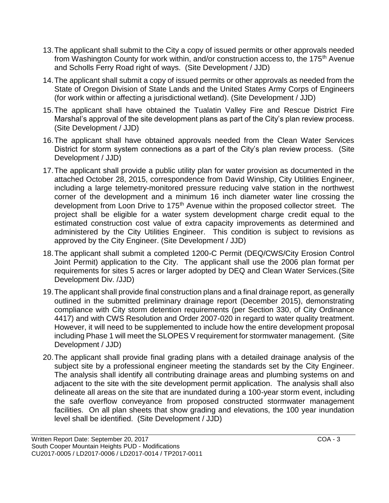- 13.The applicant shall submit to the City a copy of issued permits or other approvals needed from Washington County for work within, and/or construction access to, the 175<sup>th</sup> Avenue and Scholls Ferry Road right of ways. (Site Development / JJD)
- 14.The applicant shall submit a copy of issued permits or other approvals as needed from the State of Oregon Division of State Lands and the United States Army Corps of Engineers (for work within or affecting a jurisdictional wetland). (Site Development / JJD)
- 15.The applicant shall have obtained the Tualatin Valley Fire and Rescue District Fire Marshal's approval of the site development plans as part of the City's plan review process. (Site Development / JJD)
- 16.The applicant shall have obtained approvals needed from the Clean Water Services District for storm system connections as a part of the City's plan review process. (Site Development / JJD)
- 17.The applicant shall provide a public utility plan for water provision as documented in the attached October 28, 2015, correspondence from David Winship, City Utilities Engineer, including a large telemetry-monitored pressure reducing valve station in the northwest corner of the development and a minimum 16 inch diameter water line crossing the development from Loon Drive to 175<sup>th</sup> Avenue within the proposed collector street. The project shall be eligible for a water system development charge credit equal to the estimated construction cost value of extra capacity improvements as determined and administered by the City Utilities Engineer. This condition is subject to revisions as approved by the City Engineer. (Site Development / JJD)
- 18.The applicant shall submit a completed 1200-C Permit (DEQ/CWS/City Erosion Control Joint Permit) application to the City. The applicant shall use the 2006 plan format per requirements for sites 5 acres or larger adopted by DEQ and Clean Water Services.(Site Development Div. /JJD)
- 19.The applicant shall provide final construction plans and a final drainage report, as generally outlined in the submitted preliminary drainage report (December 2015), demonstrating compliance with City storm detention requirements (per Section 330, of City Ordinance 4417) and with CWS Resolution and Order 2007-020 in regard to water quality treatment. However, it will need to be supplemented to include how the entire development proposal including Phase 1 will meet the SLOPES V requirement for stormwater management. (Site Development / JJD)
- 20.The applicant shall provide final grading plans with a detailed drainage analysis of the subject site by a professional engineer meeting the standards set by the City Engineer. The analysis shall identify all contributing drainage areas and plumbing systems on and adjacent to the site with the site development permit application. The analysis shall also delineate all areas on the site that are inundated during a 100-year storm event, including the safe overflow conveyance from proposed constructed stormwater management facilities. On all plan sheets that show grading and elevations, the 100 year inundation level shall be identified. (Site Development / JJD)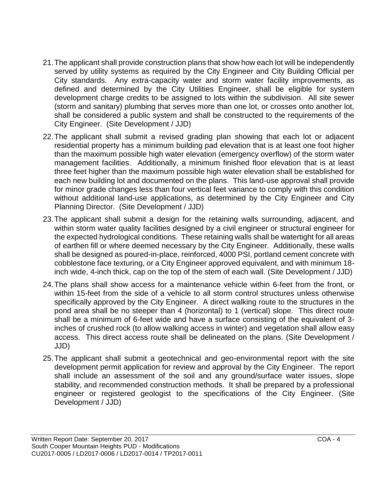- 21.The applicant shall provide construction plans that show how each lot will be independently served by utility systems as required by the City Engineer and City Building Official per City standards. Any extra-capacity water and storm water facility improvements, as defined and determined by the City Utilities Engineer, shall be eligible for system development charge credits to be assigned to lots within the subdivision. All site sewer (storm and sanitary) plumbing that serves more than one lot, or crosses onto another lot, shall be considered a public system and shall be constructed to the requirements of the City Engineer. (Site Development / JJD)
- 22.The applicant shall submit a revised grading plan showing that each lot or adjacent residential property has a minimum building pad elevation that is at least one foot higher than the maximum possible high water elevation (emergency overflow) of the storm water management facilities. Additionally, a minimum finished floor elevation that is at least three feet higher than the maximum possible high water elevation shall be established for each new building lot and documented on the plans. This land-use approval shall provide for minor grade changes less than four vertical feet variance to comply with this condition without additional land-use applications, as determined by the City Engineer and City Planning Director. (Site Development / JJD)
- 23.The applicant shall submit a design for the retaining walls surrounding, adjacent, and within storm water quality facilities designed by a civil engineer or structural engineer for the expected hydrological conditions. These retaining walls shall be watertight for all areas of earthen fill or where deemed necessary by the City Engineer. Additionally, these walls shall be designed as poured-in-place, reinforced, 4000 PSI, portland cement concrete with cobblestone face texturing, or a City Engineer approved equivalent, and with minimum 18 inch wide, 4-inch thick, cap on the top of the stem of each wall. (Site Development / JJD)
- 24.The plans shall show access for a maintenance vehicle within 6-feet from the front, or within 15-feet from the side of a vehicle to all storm control structures unless otherwise specifically approved by the City Engineer. A direct walking route to the structures in the pond area shall be no steeper than 4 (horizontal) to 1 (vertical) slope. This direct route shall be a minimum of 6-feet wide and have a surface consisting of the equivalent of 3 inches of crushed rock (to allow walking access in winter) and vegetation shall allow easy access. This direct access route shall be delineated on the plans. (Site Development / JJD)
- 25.The applicant shall submit a geotechnical and geo-environmental report with the site development permit application for review and approval by the City Engineer. The report shall include an assessment of the soil and any ground/surface water issues, slope stability, and recommended construction methods. It shall be prepared by a professional engineer or registered geologist to the specifications of the City Engineer. (Site Development / JJD)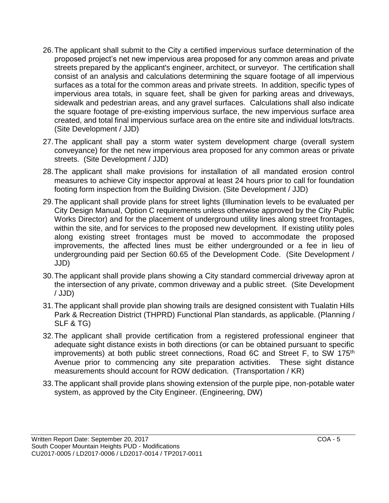- 26.The applicant shall submit to the City a certified impervious surface determination of the proposed project's net new impervious area proposed for any common areas and private streets prepared by the applicant's engineer, architect, or surveyor. The certification shall consist of an analysis and calculations determining the square footage of all impervious surfaces as a total for the common areas and private streets. In addition, specific types of impervious area totals, in square feet, shall be given for parking areas and driveways, sidewalk and pedestrian areas, and any gravel surfaces. Calculations shall also indicate the square footage of pre-existing impervious surface, the new impervious surface area created, and total final impervious surface area on the entire site and individual lots/tracts. (Site Development / JJD)
- 27.The applicant shall pay a storm water system development charge (overall system conveyance) for the net new impervious area proposed for any common areas or private streets. (Site Development / JJD)
- 28.The applicant shall make provisions for installation of all mandated erosion control measures to achieve City inspector approval at least 24 hours prior to call for foundation footing form inspection from the Building Division. (Site Development / JJD)
- 29.The applicant shall provide plans for street lights (Illumination levels to be evaluated per City Design Manual, Option C requirements unless otherwise approved by the City Public Works Director) and for the placement of underground utility lines along street frontages, within the site, and for services to the proposed new development. If existing utility poles along existing street frontages must be moved to accommodate the proposed improvements, the affected lines must be either undergrounded or a fee in lieu of undergrounding paid per Section 60.65 of the Development Code. (Site Development / JJD)
- 30.The applicant shall provide plans showing a City standard commercial driveway apron at the intersection of any private, common driveway and a public street. (Site Development / JJD)
- 31.The applicant shall provide plan showing trails are designed consistent with Tualatin Hills Park & Recreation District (THPRD) Functional Plan standards, as applicable. (Planning / SLF & TG)
- 32.The applicant shall provide certification from a registered professional engineer that adequate sight distance exists in both directions (or can be obtained pursuant to specific improvements) at both public street connections, Road 6C and Street F, to SW 175<sup>th</sup> Avenue prior to commencing any site preparation activities. These sight distance measurements should account for ROW dedication. (Transportation / KR)
- 33.The applicant shall provide plans showing extension of the purple pipe, non-potable water system, as approved by the City Engineer. (Engineering, DW)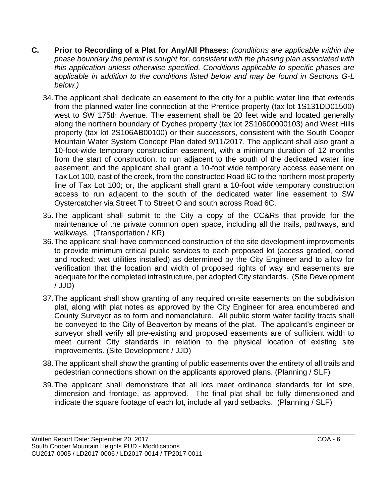- **C. Prior to Recording of a Plat for Any/All Phases:** *(conditions are applicable within the phase boundary the permit is sought for, consistent with the phasing plan associated with this application unless otherwise specified. Conditions applicable to specific phases are applicable in addition to the conditions listed below and may be found in Sections G-L below.)*
	- 34.The applicant shall dedicate an easement to the city for a public water line that extends from the planned water line connection at the Prentice property (tax lot 1S131DD01500) west to SW 175th Avenue. The easement shall be 20 feet wide and located generally along the northern boundary of Dyches property (tax lot 2S10600000103) and West Hills property (tax lot 2S106AB00100) or their successors, consistent with the South Cooper Mountain Water System Concept Plan dated 9/11/2017. The applicant shall also grant a 10-foot-wide temporary construction easement, with a minimum duration of 12 months from the start of construction, to run adjacent to the south of the dedicated water line easement; and the applicant shall grant a 10-foot wide temporary access easement on Tax Lot 100, east of the creek, from the constructed Road 6C to the northern most property line of Tax Lot 100; or, the applicant shall grant a 10-foot wide temporary construction access to run adjacent to the south of the dedicated water line easement to SW Oystercatcher via Street T to Street O and south across Road 6C.
	- 35.The applicant shall submit to the City a copy of the CC&Rs that provide for the maintenance of the private common open space, including all the trails, pathways, and walkways. (Transportation / KR)
	- 36.The applicant shall have commenced construction of the site development improvements to provide minimum critical public services to each proposed lot (access graded, cored and rocked; wet utilities installed) as determined by the City Engineer and to allow for verification that the location and width of proposed rights of way and easements are adequate for the completed infrastructure, per adopted City standards. (Site Development / JJD)
	- 37.The applicant shall show granting of any required on-site easements on the subdivision plat, along with plat notes as approved by the City Engineer for area encumbered and County Surveyor as to form and nomenclature. All public storm water facility tracts shall be conveyed to the City of Beaverton by means of the plat. The applicant's engineer or surveyor shall verify all pre-existing and proposed easements are of sufficient width to meet current City standards in relation to the physical location of existing site improvements. (Site Development / JJD)
	- 38.The applicant shall show the granting of public easements over the entirety of all trails and pedestrian connections shown on the applicants approved plans. (Planning / SLF)
	- 39.The applicant shall demonstrate that all lots meet ordinance standards for lot size, dimension and frontage, as approved. The final plat shall be fully dimensioned and indicate the square footage of each lot, include all yard setbacks. (Planning / SLF)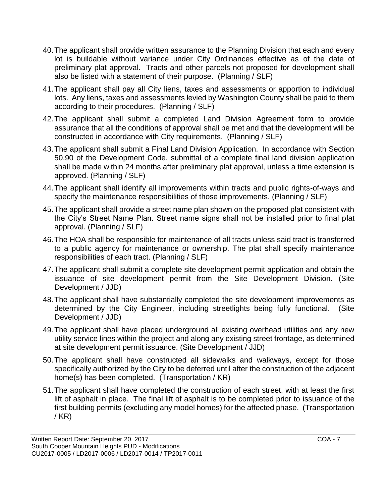- 40.The applicant shall provide written assurance to the Planning Division that each and every lot is buildable without variance under City Ordinances effective as of the date of preliminary plat approval. Tracts and other parcels not proposed for development shall also be listed with a statement of their purpose. (Planning / SLF)
- 41.The applicant shall pay all City liens, taxes and assessments or apportion to individual lots. Any liens, taxes and assessments levied by Washington County shall be paid to them according to their procedures. (Planning / SLF)
- 42.The applicant shall submit a completed Land Division Agreement form to provide assurance that all the conditions of approval shall be met and that the development will be constructed in accordance with City requirements. (Planning / SLF)
- 43.The applicant shall submit a Final Land Division Application. In accordance with Section 50.90 of the Development Code, submittal of a complete final land division application shall be made within 24 months after preliminary plat approval, unless a time extension is approved. (Planning / SLF)
- 44.The applicant shall identify all improvements within tracts and public rights-of-ways and specify the maintenance responsibilities of those improvements. (Planning / SLF)
- 45.The applicant shall provide a street name plan shown on the proposed plat consistent with the City's Street Name Plan. Street name signs shall not be installed prior to final plat approval. (Planning / SLF)
- 46.The HOA shall be responsible for maintenance of all tracts unless said tract is transferred to a public agency for maintenance or ownership. The plat shall specify maintenance responsibilities of each tract. (Planning / SLF)
- 47.The applicant shall submit a complete site development permit application and obtain the issuance of site development permit from the Site Development Division. (Site Development / JJD)
- 48.The applicant shall have substantially completed the site development improvements as determined by the City Engineer, including streetlights being fully functional. (Site Development / JJD)
- 49.The applicant shall have placed underground all existing overhead utilities and any new utility service lines within the project and along any existing street frontage, as determined at site development permit issuance. (Site Development / JJD)
- 50.The applicant shall have constructed all sidewalks and walkways, except for those specifically authorized by the City to be deferred until after the construction of the adjacent home(s) has been completed. (Transportation / KR)
- 51.The applicant shall have completed the construction of each street, with at least the first lift of asphalt in place. The final lift of asphalt is to be completed prior to issuance of the first building permits (excluding any model homes) for the affected phase. (Transportation / KR)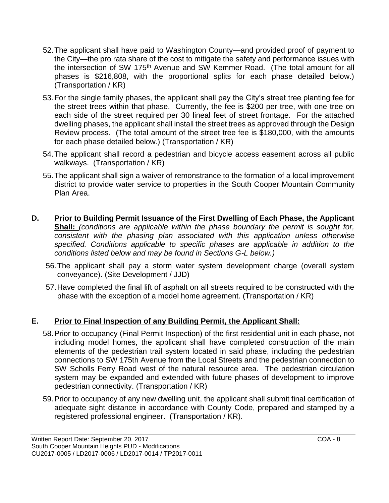- 52.The applicant shall have paid to Washington County—and provided proof of payment to the City—the pro rata share of the cost to mitigate the safety and performance issues with the intersection of SW 175<sup>th</sup> Avenue and SW Kemmer Road. (The total amount for all phases is \$216,808, with the proportional splits for each phase detailed below.) (Transportation / KR)
- 53.For the single family phases, the applicant shall pay the City's street tree planting fee for the street trees within that phase. Currently, the fee is \$200 per tree, with one tree on each side of the street required per 30 lineal feet of street frontage. For the attached dwelling phases, the applicant shall install the street trees as approved through the Design Review process. (The total amount of the street tree fee is \$180,000, with the amounts for each phase detailed below.) (Transportation / KR)
- 54.The applicant shall record a pedestrian and bicycle access easement across all public walkways. (Transportation / KR)
- 55.The applicant shall sign a waiver of remonstrance to the formation of a local improvement district to provide water service to properties in the South Cooper Mountain Community Plan Area.
- **D. Prior to Building Permit Issuance of the First Dwelling of Each Phase, the Applicant Shall:** *(conditions are applicable within the phase boundary the permit is sought for, consistent with the phasing plan associated with this application unless otherwise specified. Conditions applicable to specific phases are applicable in addition to the conditions listed below and may be found in Sections G-L below.)*
	- 56.The applicant shall pay a storm water system development charge (overall system conveyance). (Site Development / JJD)
	- 57.Have completed the final lift of asphalt on all streets required to be constructed with the phase with the exception of a model home agreement. (Transportation / KR)

## **E. Prior to Final Inspection of any Building Permit, the Applicant Shall:**

- 58.Prior to occupancy (Final Permit Inspection) of the first residential unit in each phase, not including model homes, the applicant shall have completed construction of the main elements of the pedestrian trail system located in said phase, including the pedestrian connections to SW 175th Avenue from the Local Streets and the pedestrian connection to SW Scholls Ferry Road west of the natural resource area. The pedestrian circulation system may be expanded and extended with future phases of development to improve pedestrian connectivity. (Transportation / KR)
- 59.Prior to occupancy of any new dwelling unit, the applicant shall submit final certification of adequate sight distance in accordance with County Code, prepared and stamped by a registered professional engineer. (Transportation / KR).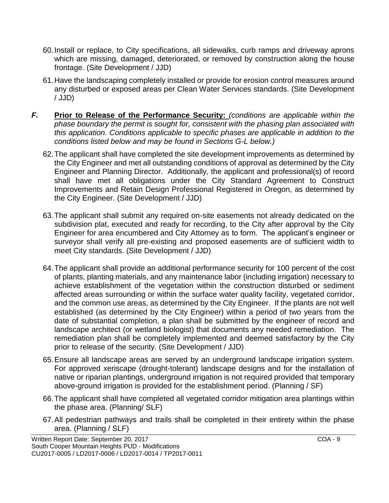- 60.Install or replace, to City specifications, all sidewalks, curb ramps and driveway aprons which are missing, damaged, deteriorated, or removed by construction along the house frontage. (Site Development / JJD)
- 61.Have the landscaping completely installed or provide for erosion control measures around any disturbed or exposed areas per Clean Water Services standards. (Site Development / JJD)
- *F.* **Prior to Release of the Performance Security:** *(conditions are applicable within the phase boundary the permit is sought for, consistent with the phasing plan associated with this application. Conditions applicable to specific phases are applicable in addition to the conditions listed below and may be found in Sections G-L below.)*
	- 62.The applicant shall have completed the site development improvements as determined by the City Engineer and met all outstanding conditions of approval as determined by the City Engineer and Planning Director. Additionally, the applicant and professional(s) of record shall have met all obligations under the City Standard Agreement to Construct Improvements and Retain Design Professional Registered in Oregon, as determined by the City Engineer. (Site Development / JJD)
	- 63.The applicant shall submit any required on-site easements not already dedicated on the subdivision plat, executed and ready for recording, to the City after approval by the City Engineer for area encumbered and City Attorney as to form. The applicant's engineer or surveyor shall verify all pre-existing and proposed easements are of sufficient width to meet City standards. (Site Development / JJD)
	- 64.The applicant shall provide an additional performance security for 100 percent of the cost of plants, planting materials, and any maintenance labor (including irrigation) necessary to achieve establishment of the vegetation within the construction disturbed or sediment affected areas surrounding or within the surface water quality facility, vegetated corridor, and the common use areas, as determined by the City Engineer. If the plants are not well established (as determined by the City Engineer) within a period of two years from the date of substantial completion, a plan shall be submitted by the engineer of record and landscape architect (or wetland biologist) that documents any needed remediation. The remediation plan shall be completely implemented and deemed satisfactory by the City prior to release of the security. (Site Development / JJD)
	- 65.Ensure all landscape areas are served by an underground landscape irrigation system. For approved xeriscape (drought-tolerant) landscape designs and for the installation of native or riparian plantings, underground irrigation is not required provided that temporary above-ground irrigation is provided for the establishment period. (Planning / SF)
	- 66.The applicant shall have completed all vegetated corridor mitigation area plantings within the phase area. (Planning/ SLF)
	- 67.All pedestrian pathways and trails shall be completed in their entirety within the phase area. (Planning / SLF)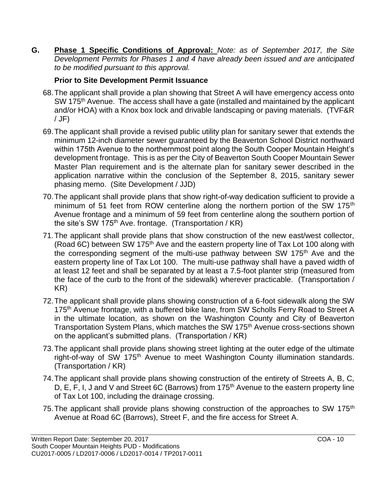**G. Phase 1 Specific Conditions of Approval:** *Note: as of September 2017, the Site Development Permits for Phases 1 and 4 have already been issued and are anticipated to be modified pursuant to this approval.* 

## **Prior to Site Development Permit Issuance**

- 68.The applicant shall provide a plan showing that Street A will have emergency access onto SW 175<sup>th</sup> Avenue. The access shall have a gate (installed and maintained by the applicant and/or HOA) with a Knox box lock and drivable landscaping or paving materials. (TVF&R / JF)
- 69.The applicant shall provide a revised public utility plan for sanitary sewer that extends the minimum 12-inch diameter sewer guaranteed by the Beaverton School District northward within 175th Avenue to the northernmost point along the South Cooper Mountain Height's development frontage. This is as per the City of Beaverton South Cooper Mountain Sewer Master Plan requirement and is the alternate plan for sanitary sewer described in the application narrative within the conclusion of the September 8, 2015, sanitary sewer phasing memo. (Site Development / JJD)
- 70.The applicant shall provide plans that show right-of-way dedication sufficient to provide a minimum of 51 feet from ROW centerline along the northern portion of the SW 175<sup>th</sup> Avenue frontage and a minimum of 59 feet from centerline along the southern portion of the site's SW 175<sup>th</sup> Ave. frontage. (Transportation / KR)
- 71.The applicant shall provide plans that show construction of the new east/west collector, (Road 6C) between SW 175th Ave and the eastern property line of Tax Lot 100 along with the corresponding segment of the multi-use pathway between SW 175th Ave and the eastern property line of Tax Lot 100. The multi-use pathway shall have a paved width of at least 12 feet and shall be separated by at least a 7.5-foot planter strip (measured from the face of the curb to the front of the sidewalk) wherever practicable. (Transportation / KR)
- 72.The applicant shall provide plans showing construction of a 6-foot sidewalk along the SW 175<sup>th</sup> Avenue frontage, with a buffered bike lane, from SW Scholls Ferry Road to Street A in the ultimate location, as shown on the Washington County and City of Beaverton Transportation System Plans, which matches the SW 175<sup>th</sup> Avenue cross-sections shown on the applicant's submitted plans. (Transportation / KR)
- 73.The applicant shall provide plans showing street lighting at the outer edge of the ultimate right-of-way of SW 175<sup>th</sup> Avenue to meet Washington County illumination standards. (Transportation / KR)
- 74.The applicant shall provide plans showing construction of the entirety of Streets A, B, C, D, E, F, I, J and V and Street 6C (Barrows) from 175<sup>th</sup> Avenue to the eastern property line of Tax Lot 100, including the drainage crossing.
- 75. The applicant shall provide plans showing construction of the approaches to SW 175<sup>th</sup> Avenue at Road 6C (Barrows), Street F, and the fire access for Street A.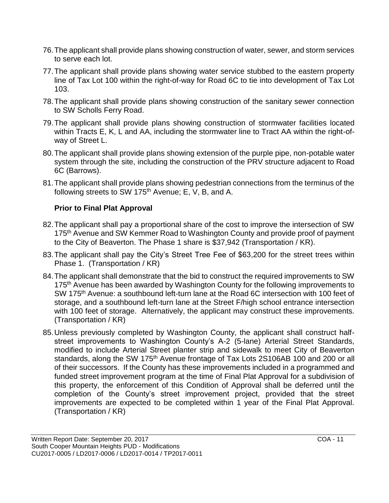- 76.The applicant shall provide plans showing construction of water, sewer, and storm services to serve each lot.
- 77.The applicant shall provide plans showing water service stubbed to the eastern property line of Tax Lot 100 within the right-of-way for Road 6C to tie into development of Tax Lot 103.
- 78.The applicant shall provide plans showing construction of the sanitary sewer connection to SW Scholls Ferry Road.
- 79.The applicant shall provide plans showing construction of stormwater facilities located within Tracts E, K, L and AA, including the stormwater line to Tract AA within the right-ofway of Street L.
- 80.The applicant shall provide plans showing extension of the purple pipe, non-potable water system through the site, including the construction of the PRV structure adjacent to Road 6C (Barrows).
- 81.The applicant shall provide plans showing pedestrian connections from the terminus of the following streets to SW 175<sup>th</sup> Avenue; E, V, B, and A.

## **Prior to Final Plat Approval**

- 82.The applicant shall pay a proportional share of the cost to improve the intersection of SW 175<sup>th</sup> Avenue and SW Kemmer Road to Washington County and provide proof of payment to the City of Beaverton. The Phase 1 share is \$37,942 (Transportation / KR).
- 83.The applicant shall pay the City's Street Tree Fee of \$63,200 for the street trees within Phase 1. (Transportation / KR)
- 84.The applicant shall demonstrate that the bid to construct the required improvements to SW 175<sup>th</sup> Avenue has been awarded by Washington County for the following improvements to SW 175<sup>th</sup> Avenue: a southbound left-turn lane at the Road 6C intersection with 100 feet of storage, and a southbound left-turn lane at the Street F/high school entrance intersection with 100 feet of storage. Alternatively, the applicant may construct these improvements. (Transportation / KR)
- 85.Unless previously completed by Washington County, the applicant shall construct halfstreet improvements to Washington County's A-2 (5-lane) Arterial Street Standards, modified to include Arterial Street planter strip and sidewalk to meet City of Beaverton standards, along the SW 175<sup>th</sup> Avenue frontage of Tax Lots 2S106AB 100 and 200 or all of their successors. If the County has these improvements included in a programmed and funded street improvement program at the time of Final Plat Approval for a subdivision of this property, the enforcement of this Condition of Approval shall be deferred until the completion of the County's street improvement project, provided that the street improvements are expected to be completed within 1 year of the Final Plat Approval. (Transportation / KR)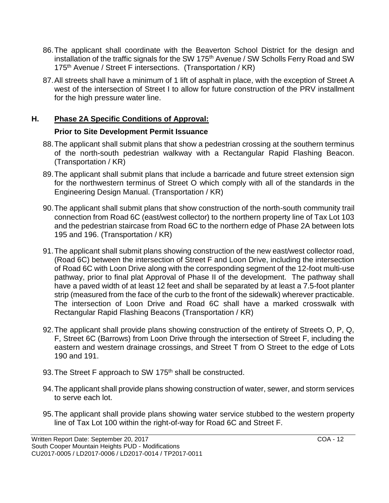- 86.The applicant shall coordinate with the Beaverton School District for the design and installation of the traffic signals for the SW 175<sup>th</sup> Avenue / SW Scholls Ferry Road and SW 175<sup>th</sup> Avenue / Street F intersections. (Transportation / KR)
- 87.All streets shall have a minimum of 1 lift of asphalt in place, with the exception of Street A west of the intersection of Street I to allow for future construction of the PRV installment for the high pressure water line.

## **H. Phase 2A Specific Conditions of Approval:**

## **Prior to Site Development Permit Issuance**

- 88.The applicant shall submit plans that show a pedestrian crossing at the southern terminus of the north-south pedestrian walkway with a Rectangular Rapid Flashing Beacon. (Transportation / KR)
- 89.The applicant shall submit plans that include a barricade and future street extension sign for the northwestern terminus of Street O which comply with all of the standards in the Engineering Design Manual. (Transportation / KR)
- 90.The applicant shall submit plans that show construction of the north-south community trail connection from Road 6C (east/west collector) to the northern property line of Tax Lot 103 and the pedestrian staircase from Road 6C to the northern edge of Phase 2A between lots 195 and 196. (Transportation / KR)
- 91.The applicant shall submit plans showing construction of the new east/west collector road, (Road 6C) between the intersection of Street F and Loon Drive, including the intersection of Road 6C with Loon Drive along with the corresponding segment of the 12-foot multi-use pathway, prior to final plat Approval of Phase II of the development. The pathway shall have a paved width of at least 12 feet and shall be separated by at least a 7.5-foot planter strip (measured from the face of the curb to the front of the sidewalk) wherever practicable. The intersection of Loon Drive and Road 6C shall have a marked crosswalk with Rectangular Rapid Flashing Beacons (Transportation / KR)
- 92.The applicant shall provide plans showing construction of the entirety of Streets O, P, Q, F, Street 6C (Barrows) from Loon Drive through the intersection of Street F, including the eastern and western drainage crossings, and Street T from O Street to the edge of Lots 190 and 191.
- 93. The Street F approach to SW 175<sup>th</sup> shall be constructed.
- 94.The applicant shall provide plans showing construction of water, sewer, and storm services to serve each lot.
- 95.The applicant shall provide plans showing water service stubbed to the western property line of Tax Lot 100 within the right-of-way for Road 6C and Street F.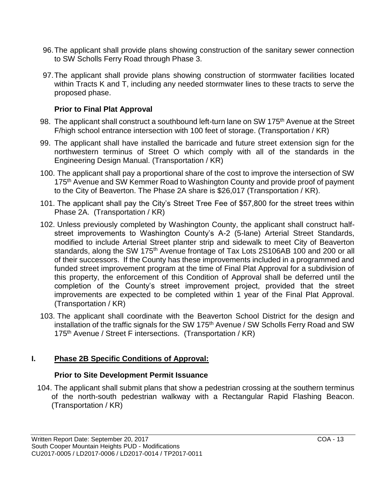- 96.The applicant shall provide plans showing construction of the sanitary sewer connection to SW Scholls Ferry Road through Phase 3.
- 97.The applicant shall provide plans showing construction of stormwater facilities located within Tracts K and T, including any needed stormwater lines to these tracts to serve the proposed phase.

## **Prior to Final Plat Approval**

- 98. The applicant shall construct a southbound left-turn lane on SW 175<sup>th</sup> Avenue at the Street F/high school entrance intersection with 100 feet of storage. (Transportation / KR)
- 99. The applicant shall have installed the barricade and future street extension sign for the northwestern terminus of Street O which comply with all of the standards in the Engineering Design Manual. (Transportation / KR)
- 100. The applicant shall pay a proportional share of the cost to improve the intersection of SW 175<sup>th</sup> Avenue and SW Kemmer Road to Washington County and provide proof of payment to the City of Beaverton. The Phase 2A share is \$26,017 (Transportation / KR).
- 101. The applicant shall pay the City's Street Tree Fee of \$57,800 for the street trees within Phase 2A. (Transportation / KR)
- 102. Unless previously completed by Washington County, the applicant shall construct halfstreet improvements to Washington County's A-2 (5-lane) Arterial Street Standards, modified to include Arterial Street planter strip and sidewalk to meet City of Beaverton standards, along the SW 175<sup>th</sup> Avenue frontage of Tax Lots 2S106AB 100 and 200 or all of their successors. If the County has these improvements included in a programmed and funded street improvement program at the time of Final Plat Approval for a subdivision of this property, the enforcement of this Condition of Approval shall be deferred until the completion of the County's street improvement project, provided that the street improvements are expected to be completed within 1 year of the Final Plat Approval. (Transportation / KR)
- 103. The applicant shall coordinate with the Beaverton School District for the design and installation of the traffic signals for the SW 175<sup>th</sup> Avenue / SW Scholls Ferry Road and SW 175<sup>th</sup> Avenue / Street F intersections. (Transportation / KR)

## **I. Phase 2B Specific Conditions of Approval:**

## **Prior to Site Development Permit Issuance**

104. The applicant shall submit plans that show a pedestrian crossing at the southern terminus of the north-south pedestrian walkway with a Rectangular Rapid Flashing Beacon. (Transportation / KR)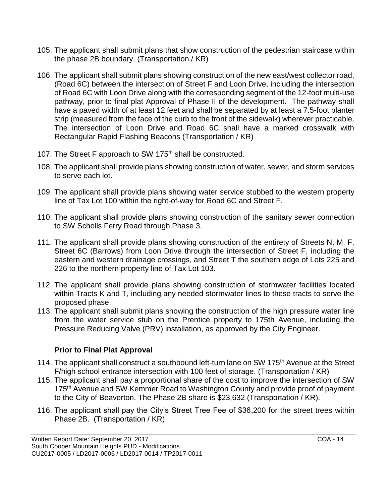- 105. The applicant shall submit plans that show construction of the pedestrian staircase within the phase 2B boundary. (Transportation / KR)
- 106. The applicant shall submit plans showing construction of the new east/west collector road, (Road 6C) between the intersection of Street F and Loon Drive, including the intersection of Road 6C with Loon Drive along with the corresponding segment of the 12-foot multi-use pathway, prior to final plat Approval of Phase II of the development. The pathway shall have a paved width of at least 12 feet and shall be separated by at least a 7.5-foot planter strip (measured from the face of the curb to the front of the sidewalk) wherever practicable. The intersection of Loon Drive and Road 6C shall have a marked crosswalk with Rectangular Rapid Flashing Beacons (Transportation / KR)
- 107. The Street F approach to SW 175<sup>th</sup> shall be constructed.
- 108. The applicant shall provide plans showing construction of water, sewer, and storm services to serve each lot.
- 109. The applicant shall provide plans showing water service stubbed to the western property line of Tax Lot 100 within the right-of-way for Road 6C and Street F.
- 110. The applicant shall provide plans showing construction of the sanitary sewer connection to SW Scholls Ferry Road through Phase 3.
- 111. The applicant shall provide plans showing construction of the entirety of Streets N, M, F, Street 6C (Barrows) from Loon Drive through the intersection of Street F, including the eastern and western drainage crossings, and Street T the southern edge of Lots 225 and 226 to the northern property line of Tax Lot 103.
- 112. The applicant shall provide plans showing construction of stormwater facilities located within Tracts K and T, including any needed stormwater lines to these tracts to serve the proposed phase.
- 113. The applicant shall submit plans showing the construction of the high pressure water line from the water service stub on the Prentice property to 175th Avenue, including the Pressure Reducing Valve (PRV) installation, as approved by the City Engineer.

## **Prior to Final Plat Approval**

- 114. The applicant shall construct a southbound left-turn lane on SW 175<sup>th</sup> Avenue at the Street F/high school entrance intersection with 100 feet of storage. (Transportation / KR)
- 115. The applicant shall pay a proportional share of the cost to improve the intersection of SW 175<sup>th</sup> Avenue and SW Kemmer Road to Washington County and provide proof of payment to the City of Beaverton. The Phase 2B share is \$23,632 (Transportation / KR).
- 116. The applicant shall pay the City's Street Tree Fee of \$36,200 for the street trees within Phase 2B. (Transportation / KR)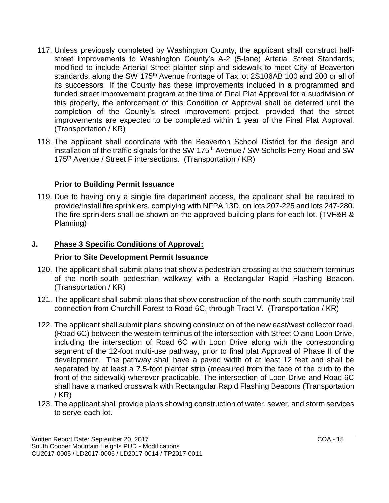- 117. Unless previously completed by Washington County, the applicant shall construct halfstreet improvements to Washington County's A-2 (5-lane) Arterial Street Standards, modified to include Arterial Street planter strip and sidewalk to meet City of Beaverton standards, along the SW 175<sup>th</sup> Avenue frontage of Tax lot 2S106AB 100 and 200 or all of its successors If the County has these improvements included in a programmed and funded street improvement program at the time of Final Plat Approval for a subdivision of this property, the enforcement of this Condition of Approval shall be deferred until the completion of the County's street improvement project, provided that the street improvements are expected to be completed within 1 year of the Final Plat Approval. (Transportation / KR)
- 118. The applicant shall coordinate with the Beaverton School District for the design and installation of the traffic signals for the SW 175<sup>th</sup> Avenue / SW Scholls Ferry Road and SW 175<sup>th</sup> Avenue / Street F intersections. (Transportation / KR)

## **Prior to Building Permit Issuance**

119. Due to having only a single fire department access, the applicant shall be required to provide/install fire sprinklers, complying with NFPA 13D, on lots 207-225 and lots 247-280. The fire sprinklers shall be shown on the approved building plans for each lot. (TVF&R & Planning)

## **J. Phase 3 Specific Conditions of Approval:**

## **Prior to Site Development Permit Issuance**

- 120. The applicant shall submit plans that show a pedestrian crossing at the southern terminus of the north-south pedestrian walkway with a Rectangular Rapid Flashing Beacon. (Transportation / KR)
- 121. The applicant shall submit plans that show construction of the north-south community trail connection from Churchill Forest to Road 6C, through Tract V. (Transportation / KR)
- 122. The applicant shall submit plans showing construction of the new east/west collector road, (Road 6C) between the western terminus of the intersection with Street O and Loon Drive, including the intersection of Road 6C with Loon Drive along with the corresponding segment of the 12-foot multi-use pathway, prior to final plat Approval of Phase II of the development. The pathway shall have a paved width of at least 12 feet and shall be separated by at least a 7.5-foot planter strip (measured from the face of the curb to the front of the sidewalk) wherever practicable. The intersection of Loon Drive and Road 6C shall have a marked crosswalk with Rectangular Rapid Flashing Beacons (Transportation / KR)
- 123. The applicant shall provide plans showing construction of water, sewer, and storm services to serve each lot.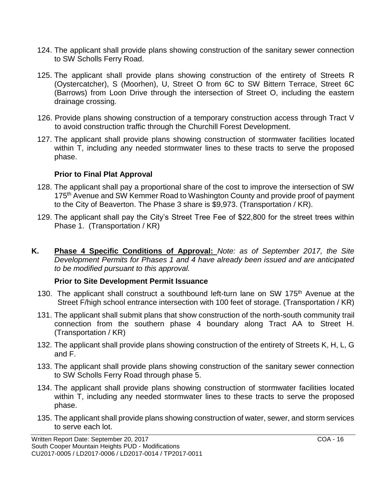- 124. The applicant shall provide plans showing construction of the sanitary sewer connection to SW Scholls Ferry Road.
- 125. The applicant shall provide plans showing construction of the entirety of Streets R (Oystercatcher), S (Moorhen), U, Street O from 6C to SW Bittern Terrace, Street 6C (Barrows) from Loon Drive through the intersection of Street O, including the eastern drainage crossing.
- 126. Provide plans showing construction of a temporary construction access through Tract V to avoid construction traffic through the Churchill Forest Development.
- 127. The applicant shall provide plans showing construction of stormwater facilities located within T, including any needed stormwater lines to these tracts to serve the proposed phase.

#### **Prior to Final Plat Approval**

- 128. The applicant shall pay a proportional share of the cost to improve the intersection of SW 175<sup>th</sup> Avenue and SW Kemmer Road to Washington County and provide proof of payment to the City of Beaverton. The Phase 3 share is \$9,973. (Transportation / KR).
- 129. The applicant shall pay the City's Street Tree Fee of \$22,800 for the street trees within Phase 1. (Transportation / KR)
- **K. Phase 4 Specific Conditions of Approval:** *Note: as of September 2017, the Site Development Permits for Phases 1 and 4 have already been issued and are anticipated to be modified pursuant to this approval.*

#### **Prior to Site Development Permit Issuance**

- 130. The applicant shall construct a southbound left-turn lane on SW 175<sup>th</sup> Avenue at the Street F/high school entrance intersection with 100 feet of storage. (Transportation / KR)
- 131. The applicant shall submit plans that show construction of the north-south community trail connection from the southern phase 4 boundary along Tract AA to Street H. (Transportation / KR)
- 132. The applicant shall provide plans showing construction of the entirety of Streets K, H, L, G and F.
- 133. The applicant shall provide plans showing construction of the sanitary sewer connection to SW Scholls Ferry Road through phase 5.
- 134. The applicant shall provide plans showing construction of stormwater facilities located within T, including any needed stormwater lines to these tracts to serve the proposed phase.
- 135. The applicant shall provide plans showing construction of water, sewer, and storm services to serve each lot.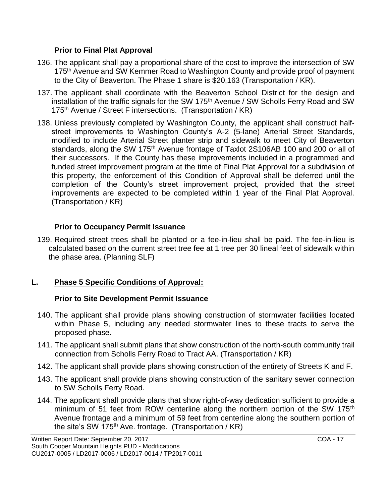### **Prior to Final Plat Approval**

- 136. The applicant shall pay a proportional share of the cost to improve the intersection of SW 175<sup>th</sup> Avenue and SW Kemmer Road to Washington County and provide proof of payment to the City of Beaverton. The Phase 1 share is \$20,163 (Transportation / KR).
- 137. The applicant shall coordinate with the Beaverton School District for the design and installation of the traffic signals for the SW 175<sup>th</sup> Avenue / SW Scholls Ferry Road and SW 175<sup>th</sup> Avenue / Street F intersections. (Transportation / KR)
- 138. Unless previously completed by Washington County, the applicant shall construct halfstreet improvements to Washington County's A-2 (5-lane) Arterial Street Standards, modified to include Arterial Street planter strip and sidewalk to meet City of Beaverton standards, along the SW 175<sup>th</sup> Avenue frontage of Taxlot 2S106AB 100 and 200 or all of their successors. If the County has these improvements included in a programmed and funded street improvement program at the time of Final Plat Approval for a subdivision of this property, the enforcement of this Condition of Approval shall be deferred until the completion of the County's street improvement project, provided that the street improvements are expected to be completed within 1 year of the Final Plat Approval. (Transportation / KR)

## **Prior to Occupancy Permit Issuance**

139. Required street trees shall be planted or a fee-in-lieu shall be paid. The fee-in-lieu is calculated based on the current street tree fee at 1 tree per 30 lineal feet of sidewalk within the phase area. (Planning SLF)

# **L. Phase 5 Specific Conditions of Approval:**

## **Prior to Site Development Permit Issuance**

- 140. The applicant shall provide plans showing construction of stormwater facilities located within Phase 5, including any needed stormwater lines to these tracts to serve the proposed phase.
- 141. The applicant shall submit plans that show construction of the north-south community trail connection from Scholls Ferry Road to Tract AA. (Transportation / KR)
- 142. The applicant shall provide plans showing construction of the entirety of Streets K and F.
- 143. The applicant shall provide plans showing construction of the sanitary sewer connection to SW Scholls Ferry Road.
- 144. The applicant shall provide plans that show right-of-way dedication sufficient to provide a minimum of 51 feet from ROW centerline along the northern portion of the SW 175<sup>th</sup> Avenue frontage and a minimum of 59 feet from centerline along the southern portion of the site's SW 175<sup>th</sup> Ave. frontage. (Transportation /  $KR$ )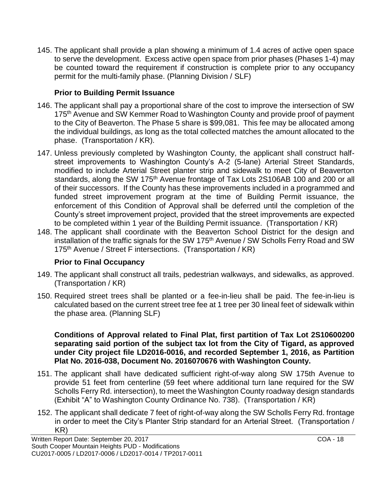145. The applicant shall provide a plan showing a minimum of 1.4 acres of active open space to serve the development. Excess active open space from prior phases (Phases 1-4) may be counted toward the requirement if construction is complete prior to any occupancy permit for the multi-family phase. (Planning Division / SLF)

### **Prior to Building Permit Issuance**

- 146. The applicant shall pay a proportional share of the cost to improve the intersection of SW 175<sup>th</sup> Avenue and SW Kemmer Road to Washington County and provide proof of payment to the City of Beaverton. The Phase 5 share is \$99,081. This fee may be allocated among the individual buildings, as long as the total collected matches the amount allocated to the phase. (Transportation / KR).
- 147. Unless previously completed by Washington County, the applicant shall construct halfstreet improvements to Washington County's A-2 (5-lane) Arterial Street Standards, modified to include Arterial Street planter strip and sidewalk to meet City of Beaverton standards, along the SW 175<sup>th</sup> Avenue frontage of Tax Lots 2S106AB 100 and 200 or all of their successors. If the County has these improvements included in a programmed and funded street improvement program at the time of Building Permit issuance, the enforcement of this Condition of Approval shall be deferred until the completion of the County's street improvement project, provided that the street improvements are expected to be completed within 1 year of the Building Permit issuance. (Transportation / KR)
- 148. The applicant shall coordinate with the Beaverton School District for the design and installation of the traffic signals for the SW 175<sup>th</sup> Avenue / SW Scholls Ferry Road and SW 175<sup>th</sup> Avenue / Street F intersections. (Transportation / KR)

#### **Prior to Final Occupancy**

- 149. The applicant shall construct all trails, pedestrian walkways, and sidewalks, as approved. (Transportation / KR)
- 150. Required street trees shall be planted or a fee-in-lieu shall be paid. The fee-in-lieu is calculated based on the current street tree fee at 1 tree per 30 lineal feet of sidewalk within the phase area. (Planning SLF)

**Conditions of Approval related to Final Plat, first partition of Tax Lot 2S10600200 separating said portion of the subject tax lot from the City of Tigard, as approved under City project file LD2016-0016, and recorded September 1, 2016, as Partition Plat No. 2016-038, Document No. 2016070676 with Washington County.**

- 151. The applicant shall have dedicated sufficient right-of-way along SW 175th Avenue to provide 51 feet from centerline (59 feet where additional turn lane required for the SW Scholls Ferry Rd. intersection), to meet the Washington County roadway design standards (Exhibit "A" to Washington County Ordinance No. 738). (Transportation / KR)
- 152. The applicant shall dedicate 7 feet of right-of-way along the SW Scholls Ferry Rd. frontage in order to meet the City's Planter Strip standard for an Arterial Street. (Transportation / KR)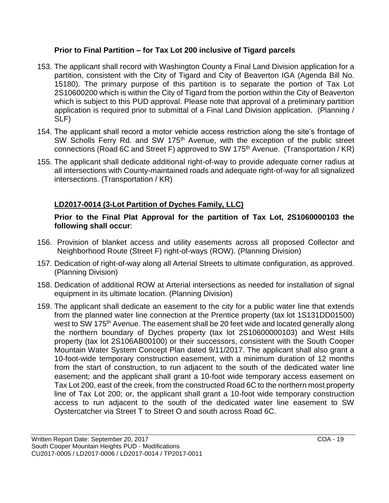### **Prior to Final Partition – for Tax Lot 200 inclusive of Tigard parcels**

- 153. The applicant shall record with Washington County a Final Land Division application for a partition, consistent with the City of Tigard and City of Beaverton IGA (Agenda Bill No. 15180). The primary purpose of this partition is to separate the portion of Tax Lot 2S10600200 which is within the City of Tigard from the portion within the City of Beaverton which is subject to this PUD approval. Please note that approval of a preliminary partition application is required prior to submittal of a Final Land Division application. (Planning / SLF)
- 154. The applicant shall record a motor vehicle access restriction along the site's frontage of SW Scholls Ferry Rd. and SW 175<sup>th</sup> Avenue, with the exception of the public street connections (Road 6C and Street F) approved to SW 175<sup>th</sup> Avenue. (Transportation / KR)
- 155. The applicant shall dedicate additional right-of-way to provide adequate corner radius at all intersections with County-maintained roads and adequate right-of-way for all signalized intersections. (Transportation / KR)

# **LD2017-0014 (3-Lot Partition of Dyches Family, LLC)**

**Prior to the Final Plat Approval for the partition of Tax Lot, 2S1060000103 the following shall occur**:

- 156. Provision of blanket access and utility easements across all proposed Collector and Neighborhood Route (Street F) right-of-ways (ROW). (Planning Division)
- 157. Dedication of right-of-way along all Arterial Streets to ultimate configuration, as approved. (Planning Division)
- 158. Dedication of additional ROW at Arterial intersections as needed for installation of signal equipment in its ultimate location. (Planning Division)
- 159. The applicant shall dedicate an easement to the city for a public water line that extends from the planned water line connection at the Prentice property (tax lot 1S131DD01500) west to SW 175<sup>th</sup> Avenue. The easement shall be 20 feet wide and located generally along the northern boundary of Dyches property (tax lot 2S10600000103) and West Hills property (tax lot 2S106AB00100) or their successors, consistent with the South Cooper Mountain Water System Concept Plan dated 9/11/2017. The applicant shall also grant a 10-foot-wide temporary construction easement, with a minimum duration of 12 months from the start of construction, to run adjacent to the south of the dedicated water line easement; and the applicant shall grant a 10-foot wide temporary access easement on Tax Lot 200, east of the creek, from the constructed Road 6C to the northern most property line of Tax Lot 200; or, the applicant shall grant a 10-foot wide temporary construction access to run adjacent to the south of the dedicated water line easement to SW Oystercatcher via Street T to Street O and south across Road 6C.